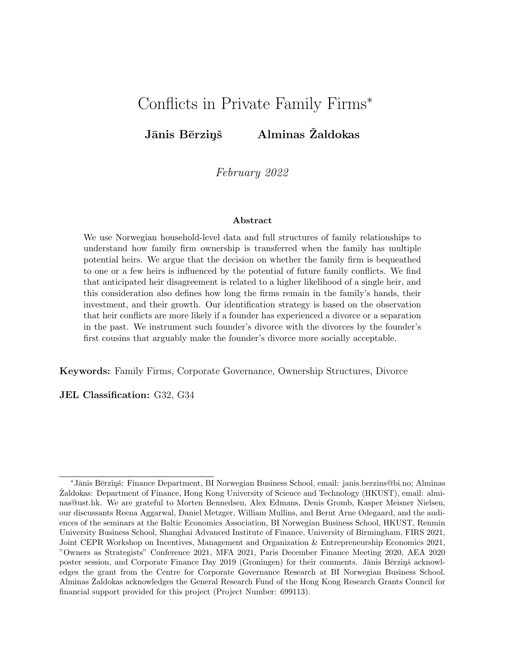## Conflicts in Private Family Firms<sup>∗</sup>

## Jānis Bērziņš Alminas Žaldokas

February 2022

#### Abstract

We use Norwegian household-level data and full structures of family relationships to understand how family firm ownership is transferred when the family has multiple potential heirs. We argue that the decision on whether the family firm is bequeathed to one or a few heirs is influenced by the potential of future family conflicts. We find that anticipated heir disagreement is related to a higher likelihood of a single heir, and this consideration also defines how long the firms remain in the family's hands, their investment, and their growth. Our identification strategy is based on the observation that heir conflicts are more likely if a founder has experienced a divorce or a separation in the past. We instrument such founder's divorce with the divorces by the founder's first cousins that arguably make the founder's divorce more socially acceptable.

Keywords: Family Firms, Corporate Governance, Ownership Structures, Divorce

JEL Classification: G32, G34

<sup>∗</sup>J¯anis B¯erzi¸nˇs: Finance Department, BI Norwegian Business School, email: janis.berzins@bi.no; Alminas Zaldokas: Department of Finance, Hong Kong University of Science and Technology (HKUST), email: alminas@ust.hk. We are grateful to Morten Bennedsen, Alex Edmans, Denis Gromb, Kasper Meisner Nielsen, our discussants Reena Aggarwal, Daniel Metzger, William Mullins, and Bernt Arne Ødegaard, and the audiences of the seminars at the Baltic Economics Association, BI Norwegian Business School, HKUST, Renmin University Business School, Shanghai Advanced Institute of Finance, University of Birmingham, FIRS 2021, Joint CEPR Workshop on Incentives, Management and Organization & Entrepreneurship Economics 2021, "Owners as Strategists" Conference 2021, MFA 2021, Paris December Finance Meeting 2020, AEA 2020 poster session, and Corporate Finance Day 2019 (Groningen) for their comments. Jānis Bērziņš acknowledges the grant from the Centre for Corporate Governance Research at BI Norwegian Business School. Alminas Žaldokas acknowledges the General Research Fund of the Hong Kong Research Grants Council for financial support provided for this project (Project Number: 699113).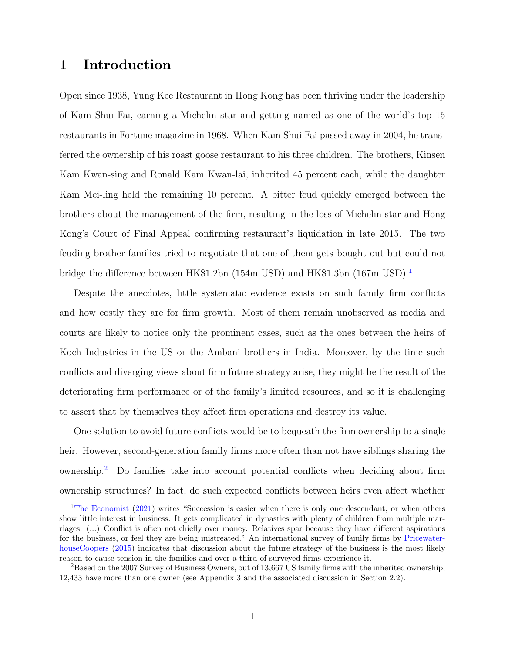## 1 Introduction

Open since 1938, Yung Kee Restaurant in Hong Kong has been thriving under the leadership of Kam Shui Fai, earning a Michelin star and getting named as one of the world's top 15 restaurants in Fortune magazine in 1968. When Kam Shui Fai passed away in 2004, he transferred the ownership of his roast goose restaurant to his three children. The brothers, Kinsen Kam Kwan-sing and Ronald Kam Kwan-lai, inherited 45 percent each, while the daughter Kam Mei-ling held the remaining 10 percent. A bitter feud quickly emerged between the brothers about the management of the firm, resulting in the loss of Michelin star and Hong Kong's Court of Final Appeal confirming restaurant's liquidation in late 2015. The two feuding brother families tried to negotiate that one of them gets bought out but could not bridge the difference between HK\$[1](#page-1-0).2bn (154m USD) and HK\$1.3bn (167m USD).<sup>1</sup>

Despite the anecdotes, little systematic evidence exists on such family firm conflicts and how costly they are for firm growth. Most of them remain unobserved as media and courts are likely to notice only the prominent cases, such as the ones between the heirs of Koch Industries in the US or the Ambani brothers in India. Moreover, by the time such conflicts and diverging views about firm future strategy arise, they might be the result of the deteriorating firm performance or of the family's limited resources, and so it is challenging to assert that by themselves they affect firm operations and destroy its value.

One solution to avoid future conflicts would be to bequeath the firm ownership to a single heir. However, second-generation family firms more often than not have siblings sharing the ownership.[2](#page-1-1) Do families take into account potential conflicts when deciding about firm ownership structures? In fact, do such expected conflicts between heirs even affect whether

<span id="page-1-0"></span><sup>&</sup>lt;sup>1</sup>[The Economist](#page-36-0) [\(2021\)](#page-36-0) writes "Succession is easier when there is only one descendant, or when others show little interest in business. It gets complicated in dynasties with plenty of children from multiple marriages. (...) Conflict is often not chiefly over money. Relatives spar because they have different aspirations for the business, or feel they are being mistreated." An international survey of family firms by [Pricewater](#page-36-1)[houseCoopers](#page-36-1) [\(2015\)](#page-36-1) indicates that discussion about the future strategy of the business is the most likely reason to cause tension in the families and over a third of surveyed firms experience it.

<span id="page-1-1"></span><sup>&</sup>lt;sup>2</sup>Based on the 2007 Survey of Business Owners, out of 13,667 US family firms with the inherited ownership, 12,433 have more than one owner (see Appendix 3 and the associated discussion in Section 2.2).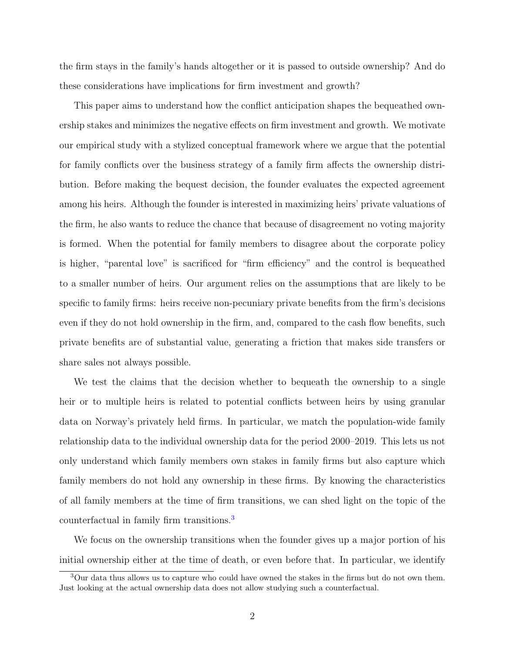the firm stays in the family's hands altogether or it is passed to outside ownership? And do these considerations have implications for firm investment and growth?

This paper aims to understand how the conflict anticipation shapes the bequeathed ownership stakes and minimizes the negative effects on firm investment and growth. We motivate our empirical study with a stylized conceptual framework where we argue that the potential for family conflicts over the business strategy of a family firm affects the ownership distribution. Before making the bequest decision, the founder evaluates the expected agreement among his heirs. Although the founder is interested in maximizing heirs' private valuations of the firm, he also wants to reduce the chance that because of disagreement no voting majority is formed. When the potential for family members to disagree about the corporate policy is higher, "parental love" is sacrificed for "firm efficiency" and the control is bequeathed to a smaller number of heirs. Our argument relies on the assumptions that are likely to be specific to family firms: heirs receive non-pecuniary private benefits from the firm's decisions even if they do not hold ownership in the firm, and, compared to the cash flow benefits, such private benefits are of substantial value, generating a friction that makes side transfers or share sales not always possible.

We test the claims that the decision whether to bequeath the ownership to a single heir or to multiple heirs is related to potential conflicts between heirs by using granular data on Norway's privately held firms. In particular, we match the population-wide family relationship data to the individual ownership data for the period 2000–2019. This lets us not only understand which family members own stakes in family firms but also capture which family members do not hold any ownership in these firms. By knowing the characteristics of all family members at the time of firm transitions, we can shed light on the topic of the counterfactual in family firm transitions.[3](#page-2-0)

We focus on the ownership transitions when the founder gives up a major portion of his initial ownership either at the time of death, or even before that. In particular, we identify

<span id="page-2-0"></span><sup>&</sup>lt;sup>3</sup>Our data thus allows us to capture who could have owned the stakes in the firms but do not own them. Just looking at the actual ownership data does not allow studying such a counterfactual.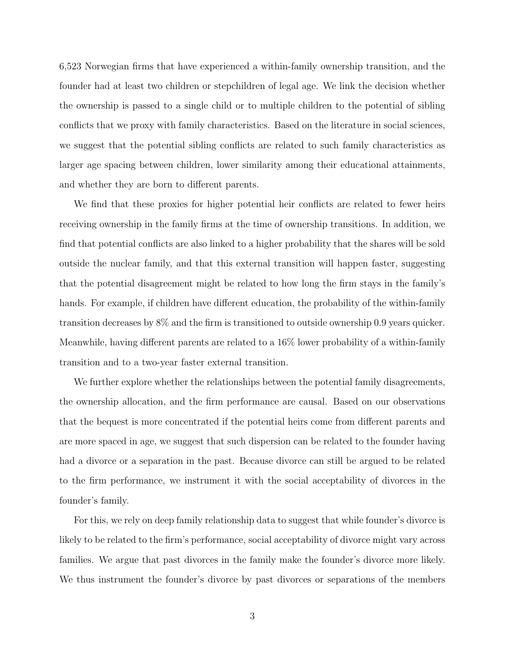6,523 Norwegian firms that have experienced a within-family ownership transition, and the founder had at least two children or stepchildren of legal age. We link the decision whether the ownership is passed to a single child or to multiple children to the potential of sibling conflicts that we proxy with family characteristics. Based on the literature in social sciences, we suggest that the potential sibling conflicts are related to such family characteristics as larger age spacing between children, lower similarity among their educational attainments, and whether they are born to different parents.

We find that these proxies for higher potential heir conflicts are related to fewer heirs receiving ownership in the family firms at the time of ownership transitions. In addition, we find that potential conflicts are also linked to a higher probability that the shares will be sold outside the nuclear family, and that this external transition will happen faster, suggesting that the potential disagreement might be related to how long the firm stays in the family's hands. For example, if children have different education, the probability of the within-family transition decreases by 8% and the firm is transitioned to outside ownership 0.9 years quicker. Meanwhile, having different parents are related to a 16% lower probability of a within-family transition and to a two-year faster external transition.

We further explore whether the relationships between the potential family disagreements, the ownership allocation, and the firm performance are causal. Based on our observations that the bequest is more concentrated if the potential heirs come from different parents and are more spaced in age, we suggest that such dispersion can be related to the founder having had a divorce or a separation in the past. Because divorce can still be argued to be related to the firm performance, we instrument it with the social acceptability of divorces in the founder's family.

For this, we rely on deep family relationship data to suggest that while founder's divorce is likely to be related to the firm's performance, social acceptability of divorce might vary across families. We argue that past divorces in the family make the founder's divorce more likely. We thus instrument the founder's divorce by past divorces or separations of the members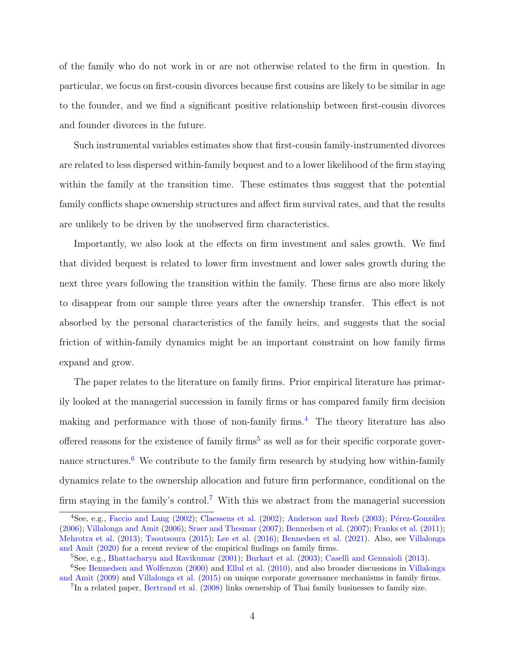of the family who do not work in or are not otherwise related to the firm in question. In particular, we focus on first-cousin divorces because first cousins are likely to be similar in age to the founder, and we find a significant positive relationship between first-cousin divorces and founder divorces in the future.

Such instrumental variables estimates show that first-cousin family-instrumented divorces are related to less dispersed within-family bequest and to a lower likelihood of the firm staying within the family at the transition time. These estimates thus suggest that the potential family conflicts shape ownership structures and affect firm survival rates, and that the results are unlikely to be driven by the unobserved firm characteristics.

Importantly, we also look at the effects on firm investment and sales growth. We find that divided bequest is related to lower firm investment and lower sales growth during the next three years following the transition within the family. These firms are also more likely to disappear from our sample three years after the ownership transfer. This effect is not absorbed by the personal characteristics of the family heirs, and suggests that the social friction of within-family dynamics might be an important constraint on how family firms expand and grow.

The paper relates to the literature on family firms. Prior empirical literature has primarily looked at the managerial succession in family firms or has compared family firm decision making and performance with those of non-family firms.<sup>[4](#page-4-0)</sup> The theory literature has also offered reasons for the existence of family firms<sup>[5](#page-4-1)</sup> as well as for their specific corporate gover-nance structures.<sup>[6](#page-4-2)</sup> We contribute to the family firm research by studying how within-family dynamics relate to the ownership allocation and future firm performance, conditional on the firm staying in the family's control.<sup>[7](#page-4-3)</sup> With this we abstract from the managerial succession

<span id="page-4-0"></span> $\overline{^{4}$ See, e.g., [Faccio and Lang](#page-35-0) [\(2002\)](#page-35-1); [Claessens et al.](#page-35-1) (2002); [Anderson and Reeb](#page-34-0) [\(2003\)](#page-34-0); Pérez-González [\(2006\)](#page-36-2); [Villalonga and Amit](#page-36-3) [\(2006\)](#page-36-3); [Sraer and Thesmar](#page-36-4) [\(2007\)](#page-36-4); [Bennedsen et al.](#page-34-1) [\(2007\)](#page-34-1); [Franks et al.](#page-35-2) [\(2011\)](#page-35-2); [Mehrotra et al.](#page-36-5) [\(2013\)](#page-36-5); [Tsoutsoura](#page-36-6) [\(2015\)](#page-36-6); [Lee et al.](#page-36-7) [\(2016\)](#page-36-7); [Bennedsen et al.](#page-34-2) [\(2021\)](#page-34-2). Also, see [Villalonga](#page-37-0) [and Amit](#page-37-0) [\(2020\)](#page-37-0) for a recent review of the empirical findings on family firms.

<span id="page-4-2"></span><span id="page-4-1"></span><sup>5</sup>See, e.g., [Bhattacharya and Ravikumar](#page-34-3) [\(2001\)](#page-34-3); [Burkart et al.](#page-35-3) [\(2003\)](#page-35-3); [Caselli and Gennaioli](#page-35-4) [\(2013\)](#page-35-4).

<sup>&</sup>lt;sup>6</sup>See [Bennedsen and Wolfenzon](#page-34-4) [\(2000\)](#page-34-4) and [Ellul et al.](#page-35-5) [\(2010\)](#page-35-5), and also broader discussions in [Villalonga](#page-37-1) [and Amit](#page-37-1) [\(2009\)](#page-37-1) and [Villalonga et al.](#page-37-2) [\(2015\)](#page-37-2) on unique corporate governance mechanisms in family firms.

<span id="page-4-3"></span><sup>&</sup>lt;sup>7</sup>In a related paper, [Bertrand et al.](#page-34-5) [\(2008\)](#page-34-5) links ownership of Thai family businesses to family size.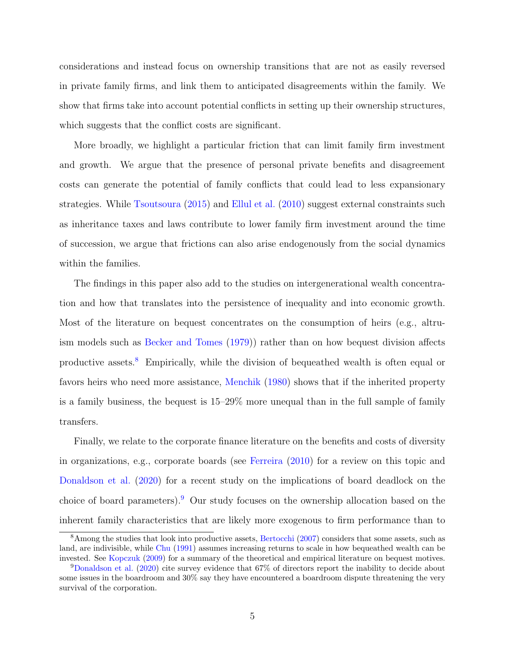considerations and instead focus on ownership transitions that are not as easily reversed in private family firms, and link them to anticipated disagreements within the family. We show that firms take into account potential conflicts in setting up their ownership structures, which suggests that the conflict costs are significant.

More broadly, we highlight a particular friction that can limit family firm investment and growth. We argue that the presence of personal private benefits and disagreement costs can generate the potential of family conflicts that could lead to less expansionary strategies. While [Tsoutsoura](#page-36-6) [\(2015\)](#page-36-6) and [Ellul et al.](#page-35-5) [\(2010\)](#page-35-5) suggest external constraints such as inheritance taxes and laws contribute to lower family firm investment around the time of succession, we argue that frictions can also arise endogenously from the social dynamics within the families.

The findings in this paper also add to the studies on intergenerational wealth concentration and how that translates into the persistence of inequality and into economic growth. Most of the literature on bequest concentrates on the consumption of heirs (e.g., altruism models such as [Becker and Tomes](#page-34-6) [\(1979\)](#page-34-6)) rather than on how bequest division affects productive assets.[8](#page-5-0) Empirically, while the division of bequeathed wealth is often equal or favors heirs who need more assistance, [Menchik](#page-36-8) [\(1980\)](#page-36-8) shows that if the inherited property is a family business, the bequest is 15–29% more unequal than in the full sample of family transfers.

Finally, we relate to the corporate finance literature on the benefits and costs of diversity in organizations, e.g., corporate boards (see [Ferreira](#page-35-6) [\(2010\)](#page-35-6) for a review on this topic and [Donaldson et al.](#page-35-7) [\(2020\)](#page-35-7) for a recent study on the implications of board deadlock on the choice of board parameters).[9](#page-5-1) Our study focuses on the ownership allocation based on the inherent family characteristics that are likely more exogenous to firm performance than to

<span id="page-5-0"></span><sup>8</sup>Among the studies that look into productive assets, [Bertocchi](#page-34-7) [\(2007\)](#page-34-7) considers that some assets, such as land, are indivisible, while [Chu](#page-35-8) [\(1991\)](#page-35-8) assumes increasing returns to scale in how bequeathed wealth can be invested. See [Kopczuk](#page-35-9) [\(2009\)](#page-35-9) for a summary of the theoretical and empirical literature on bequest motives.

<span id="page-5-1"></span><sup>9</sup>[Donaldson et al.](#page-35-7) [\(2020\)](#page-35-7) cite survey evidence that 67% of directors report the inability to decide about some issues in the boardroom and 30% say they have encountered a boardroom dispute threatening the very survival of the corporation.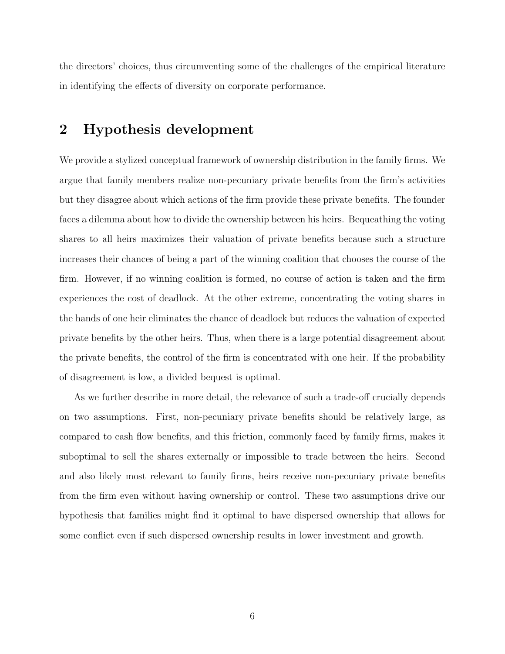the directors' choices, thus circumventing some of the challenges of the empirical literature in identifying the effects of diversity on corporate performance.

## 2 Hypothesis development

We provide a stylized conceptual framework of ownership distribution in the family firms. We argue that family members realize non-pecuniary private benefits from the firm's activities but they disagree about which actions of the firm provide these private benefits. The founder faces a dilemma about how to divide the ownership between his heirs. Bequeathing the voting shares to all heirs maximizes their valuation of private benefits because such a structure increases their chances of being a part of the winning coalition that chooses the course of the firm. However, if no winning coalition is formed, no course of action is taken and the firm experiences the cost of deadlock. At the other extreme, concentrating the voting shares in the hands of one heir eliminates the chance of deadlock but reduces the valuation of expected private benefits by the other heirs. Thus, when there is a large potential disagreement about the private benefits, the control of the firm is concentrated with one heir. If the probability of disagreement is low, a divided bequest is optimal.

As we further describe in more detail, the relevance of such a trade-off crucially depends on two assumptions. First, non-pecuniary private benefits should be relatively large, as compared to cash flow benefits, and this friction, commonly faced by family firms, makes it suboptimal to sell the shares externally or impossible to trade between the heirs. Second and also likely most relevant to family firms, heirs receive non-pecuniary private benefits from the firm even without having ownership or control. These two assumptions drive our hypothesis that families might find it optimal to have dispersed ownership that allows for some conflict even if such dispersed ownership results in lower investment and growth.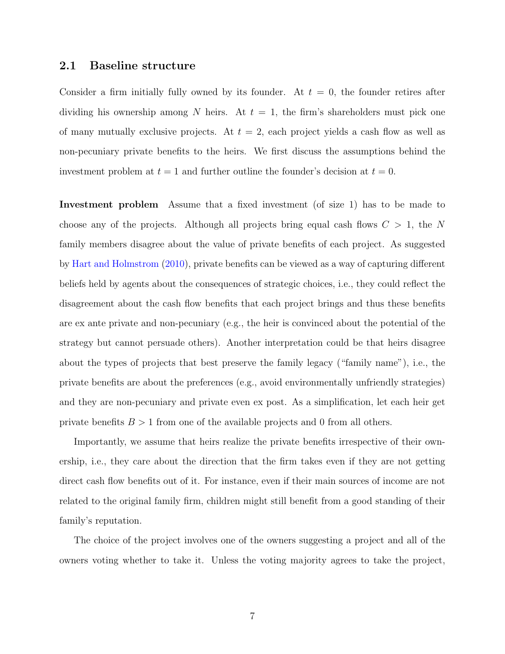#### 2.1 Baseline structure

Consider a firm initially fully owned by its founder. At  $t = 0$ , the founder retires after dividing his ownership among N heirs. At  $t = 1$ , the firm's shareholders must pick one of many mutually exclusive projects. At  $t = 2$ , each project yields a cash flow as well as non-pecuniary private benefits to the heirs. We first discuss the assumptions behind the investment problem at  $t = 1$  and further outline the founder's decision at  $t = 0$ .

Investment problem Assume that a fixed investment (of size 1) has to be made to choose any of the projects. Although all projects bring equal cash flows  $C > 1$ , the N family members disagree about the value of private benefits of each project. As suggested by [Hart and Holmstrom](#page-35-10) [\(2010\)](#page-35-10), private benefits can be viewed as a way of capturing different beliefs held by agents about the consequences of strategic choices, i.e., they could reflect the disagreement about the cash flow benefits that each project brings and thus these benefits are ex ante private and non-pecuniary (e.g., the heir is convinced about the potential of the strategy but cannot persuade others). Another interpretation could be that heirs disagree about the types of projects that best preserve the family legacy ("family name"), i.e., the private benefits are about the preferences (e.g., avoid environmentally unfriendly strategies) and they are non-pecuniary and private even ex post. As a simplification, let each heir get private benefits  $B > 1$  from one of the available projects and 0 from all others.

Importantly, we assume that heirs realize the private benefits irrespective of their ownership, i.e., they care about the direction that the firm takes even if they are not getting direct cash flow benefits out of it. For instance, even if their main sources of income are not related to the original family firm, children might still benefit from a good standing of their family's reputation.

The choice of the project involves one of the owners suggesting a project and all of the owners voting whether to take it. Unless the voting majority agrees to take the project,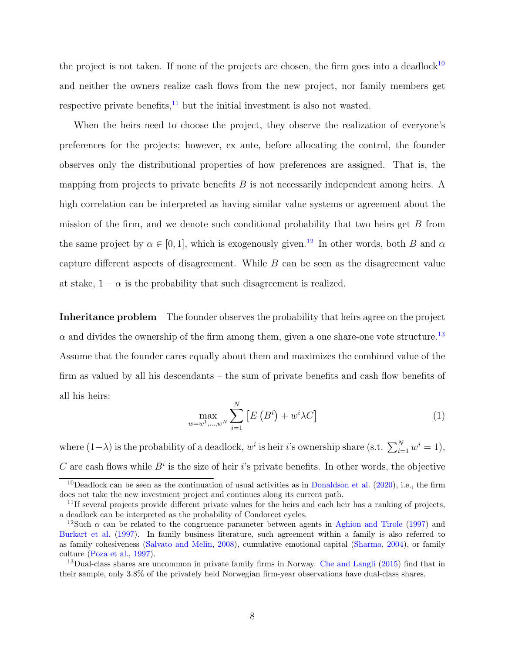the project is not taken. If none of the projects are chosen, the firm goes into a deadlock<sup>[10](#page-8-0)</sup> and neither the owners realize cash flows from the new project, nor family members get respective private benefits, $11$  but the initial investment is also not wasted.

When the heirs need to choose the project, they observe the realization of everyone's preferences for the projects; however, ex ante, before allocating the control, the founder observes only the distributional properties of how preferences are assigned. That is, the mapping from projects to private benefits  $B$  is not necessarily independent among heirs. A high correlation can be interpreted as having similar value systems or agreement about the mission of the firm, and we denote such conditional probability that two heirs get  $B$  from the same project by  $\alpha \in [0, 1]$ , which is exogenously given.<sup>[12](#page-8-2)</sup> In other words, both B and  $\alpha$ capture different aspects of disagreement. While B can be seen as the disagreement value at stake,  $1 - \alpha$  is the probability that such disagreement is realized.

Inheritance problem The founder observes the probability that heirs agree on the project  $\alpha$  and divides the ownership of the firm among them, given a one share-one vote structure.<sup>[13](#page-8-3)</sup> Assume that the founder cares equally about them and maximizes the combined value of the firm as valued by all his descendants – the sum of private benefits and cash flow benefits of all his heirs:

$$
\max_{w=w^{1},...,w^{N}}\sum_{i=1}^{N}\left[E\left(B^{i}\right)+w^{i}\lambda C\right]
$$
\n(1)

where  $(1-\lambda)$  is the probability of a deadlock,  $w^i$  is heir i's ownership share (s.t.  $\sum_{i=1}^{N} w^i = 1$ ), C are cash flows while  $B^i$  is the size of heir i's private benefits. In other words, the objective

<span id="page-8-0"></span><sup>&</sup>lt;sup>10</sup>Deadlock can be seen as the continuation of usual activities as in [Donaldson et al.](#page-35-7)  $(2020)$ , i.e., the firm does not take the new investment project and continues along its current path.

<span id="page-8-1"></span> $11$ If several projects provide different private values for the heirs and each heir has a ranking of projects, a deadlock can be interpreted as the probability of Condorcet cycles.

<span id="page-8-2"></span><sup>&</sup>lt;sup>12</sup>Such  $\alpha$  can be related to the congruence parameter between agents in [Aghion and Tirole](#page-34-8) [\(1997\)](#page-34-8) and [Burkart et al.](#page-34-9) [\(1997\)](#page-34-9). In family business literature, such agreement within a family is also referred to as family cohesiveness [\(Salvato and Melin,](#page-36-9) [2008\)](#page-36-9), cumulative emotional capital [\(Sharma,](#page-36-10) [2004\)](#page-36-10), or family culture [\(Poza et al.,](#page-36-11) [1997\)](#page-36-11).

<span id="page-8-3"></span><sup>&</sup>lt;sup>13</sup>Dual-class shares are uncommon in private family firms in Norway. [Che and Langli](#page-35-11) [\(2015\)](#page-35-11) find that in their sample, only 3.8% of the privately held Norwegian firm-year observations have dual-class shares.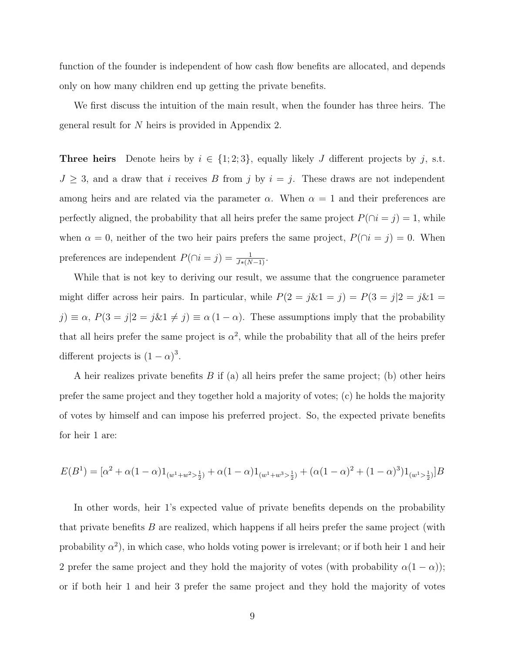function of the founder is independent of how cash flow benefits are allocated, and depends only on how many children end up getting the private benefits.

We first discuss the intuition of the main result, when the founder has three heirs. The general result for N heirs is provided in Appendix 2.

**Three heirs** Denote heirs by  $i \in \{1, 2, 3\}$ , equally likely J different projects by j, s.t.  $J \geq 3$ , and a draw that i receives B from j by  $i = j$ . These draws are not independent among heirs and are related via the parameter  $\alpha$ . When  $\alpha = 1$  and their preferences are perfectly aligned, the probability that all heirs prefer the same project  $P(\cap i = j) = 1$ , while when  $\alpha = 0$ , neither of the two heir pairs prefers the same project,  $P(\cap i = j) = 0$ . When preferences are independent  $P(\cap i = j) = \frac{1}{J*(N-1)}$ .

While that is not key to deriving our result, we assume that the congruence parameter might differ across heir pairs. In particular, while  $P(2 = j\&1 = j) = P(3 = j|2 = j\&1 = j\&1$  $j) \equiv \alpha$ ,  $P(3 = j | 2 = j \& 1 \neq j) \equiv \alpha (1 - \alpha)$ . These assumptions imply that the probability that all heirs prefer the same project is  $\alpha^2$ , while the probability that all of the heirs prefer different projects is  $(1 - \alpha)^3$ .

A heir realizes private benefits  $B$  if (a) all heirs prefer the same project; (b) other heirs prefer the same project and they together hold a majority of votes; (c) he holds the majority of votes by himself and can impose his preferred project. So, the expected private benefits for heir 1 are:

$$
E(B^1) = [\alpha^2 + \alpha(1-\alpha)1_{(w^1+w^2>\frac{1}{2})} + \alpha(1-\alpha)1_{(w^1+w^3>\frac{1}{2})} + (\alpha(1-\alpha)^2 + (1-\alpha)^3)1_{(w^1>\frac{1}{2})}]B
$$

In other words, heir 1's expected value of private benefits depends on the probability that private benefits  $B$  are realized, which happens if all heirs prefer the same project (with probability  $\alpha^2$ ), in which case, who holds voting power is irrelevant; or if both heir 1 and heir 2 prefer the same project and they hold the majority of votes (with probability  $\alpha(1-\alpha)$ ); or if both heir 1 and heir 3 prefer the same project and they hold the majority of votes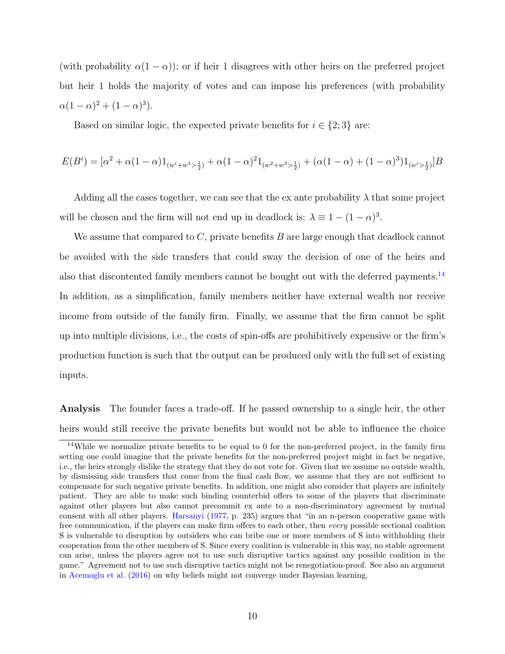(with probability  $\alpha(1-\alpha)$ ); or if heir 1 disagrees with other heirs on the preferred project but heir 1 holds the majority of votes and can impose his preferences (with probability  $\alpha(1-\alpha)^2 + (1-\alpha)^3$ .

Based on similar logic, the expected private benefits for  $i \in \{2,3\}$  are:

$$
E(B^i) = [\alpha^2 + \alpha(1-\alpha)1_{(w^i + w^1 > \frac{1}{2})} + \alpha(1-\alpha)^2 1_{(w^2 + w^3 > \frac{1}{2})} + (\alpha(1-\alpha) + (1-\alpha)^3)1_{(w^i > \frac{1}{2})}]B
$$

Adding all the cases together, we can see that the ex ante probability  $\lambda$  that some project will be chosen and the firm will not end up in deadlock is:  $\lambda \equiv 1 - (1 - \alpha)^3$ .

We assume that compared to C, private benefits  $B$  are large enough that deadlock cannot be avoided with the side transfers that could sway the decision of one of the heirs and also that discontented family members cannot be bought out with the deferred payments.[14](#page-10-0) In addition, as a simplification, family members neither have external wealth nor receive income from outside of the family firm. Finally, we assume that the firm cannot be split up into multiple divisions, i.e., the costs of spin-offs are prohibitively expensive or the firm's production function is such that the output can be produced only with the full set of existing inputs.

Analysis The founder faces a trade-off. If he passed ownership to a single heir, the other heirs would still receive the private benefits but would not be able to influence the choice

<span id="page-10-0"></span><sup>14</sup>While we normalize private benefits to be equal to 0 for the non-preferred project, in the family firm setting one could imagine that the private benefits for the non-preferred project might in fact be negative, i.e., the heirs strongly dislike the strategy that they do not vote for. Given that we assume no outside wealth, by dismissing side transfers that come from the final cash flow, we assume that they are not sufficient to compensate for such negative private benefits. In addition, one might also consider that players are infinitely patient. They are able to make such binding counterbid offers to some of the players that discriminate against other players but also cannot precommit ex ante to a non-discriminatory agreement by mutual consent with all other players. [Harsanyi](#page-35-12) [\(1977,](#page-35-12) p. 235) argues that "in an n-person cooperative game with free communication, if the players can make firm offers to each other, then every possible sectional coalition S is vulnerable to disruption by outsiders who can bribe one or more members of S into withholding their cooperation from the other members of S. Since every coalition is vulnerable in this way, no stable agreement can arise, unless the players agree not to use such disruptive tactics against any possible coalition in the game." Agreement not to use such disruptive tactics might not be renegotiation-proof. See also an argument in [Acemoglu et al.](#page-34-10) [\(2016\)](#page-34-10) on why beliefs might not converge under Bayesian learning.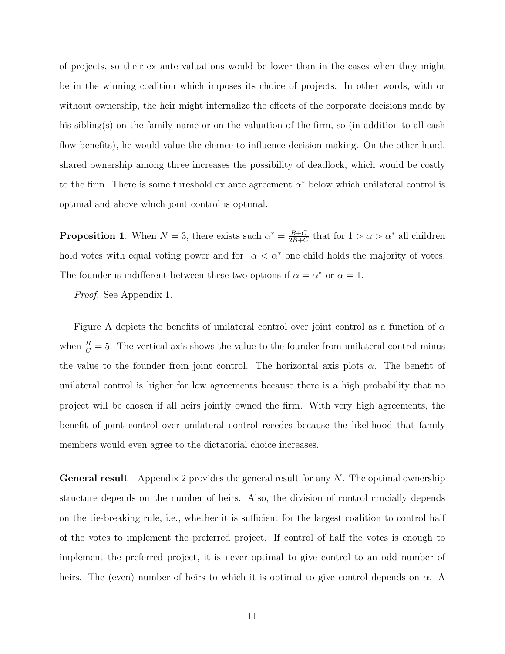of projects, so their ex ante valuations would be lower than in the cases when they might be in the winning coalition which imposes its choice of projects. In other words, with or without ownership, the heir might internalize the effects of the corporate decisions made by his sibling(s) on the family name or on the valuation of the firm, so (in addition to all cash flow benefits), he would value the chance to influence decision making. On the other hand, shared ownership among three increases the possibility of deadlock, which would be costly to the firm. There is some threshold ex ante agreement  $\alpha^*$  below which unilateral control is optimal and above which joint control is optimal.

**Proposition 1.** When  $N = 3$ , there exists such  $\alpha^* = \frac{B+C}{2B+C}$  $\frac{B+C}{2B+C}$  that for  $1 > \alpha > \alpha^*$  all children hold votes with equal voting power and for  $\alpha < \alpha^*$  one child holds the majority of votes. The founder is indifferent between these two options if  $\alpha = \alpha^*$  or  $\alpha = 1$ .

Proof. See Appendix 1.

Figure A depicts the benefits of unilateral control over joint control as a function of  $\alpha$ when  $\frac{B}{C} = 5$ . The vertical axis shows the value to the founder from unilateral control minus the value to the founder from joint control. The horizontal axis plots  $\alpha$ . The benefit of unilateral control is higher for low agreements because there is a high probability that no project will be chosen if all heirs jointly owned the firm. With very high agreements, the benefit of joint control over unilateral control recedes because the likelihood that family members would even agree to the dictatorial choice increases.

**General result** Appendix 2 provides the general result for any  $N$ . The optimal ownership structure depends on the number of heirs. Also, the division of control crucially depends on the tie-breaking rule, i.e., whether it is sufficient for the largest coalition to control half of the votes to implement the preferred project. If control of half the votes is enough to implement the preferred project, it is never optimal to give control to an odd number of heirs. The (even) number of heirs to which it is optimal to give control depends on  $\alpha$ . A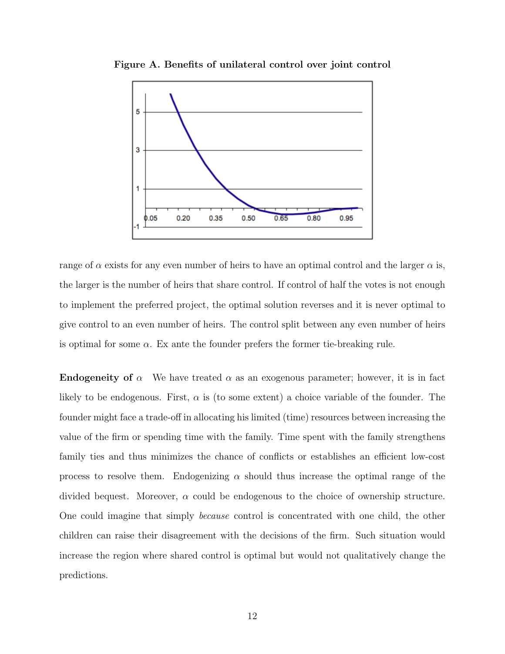

Figure A. Benefits of unilateral control over joint control

range of  $\alpha$  exists for any even number of heirs to have an optimal control and the larger  $\alpha$  is, the larger is the number of heirs that share control. If control of half the votes is not enough to implement the preferred project, the optimal solution reverses and it is never optimal to give control to an even number of heirs. The control split between any even number of heirs is optimal for some  $\alpha$ . Ex ante the founder prefers the former tie-breaking rule.

**Endogeneity of**  $\alpha$  We have treated  $\alpha$  as an exogenous parameter; however, it is in fact likely to be endogenous. First,  $\alpha$  is (to some extent) a choice variable of the founder. The founder might face a trade-off in allocating his limited (time) resources between increasing the value of the firm or spending time with the family. Time spent with the family strengthens family ties and thus minimizes the chance of conflicts or establishes an efficient low-cost process to resolve them. Endogenizing  $\alpha$  should thus increase the optimal range of the divided bequest. Moreover,  $\alpha$  could be endogenous to the choice of ownership structure. One could imagine that simply because control is concentrated with one child, the other children can raise their disagreement with the decisions of the firm. Such situation would increase the region where shared control is optimal but would not qualitatively change the predictions.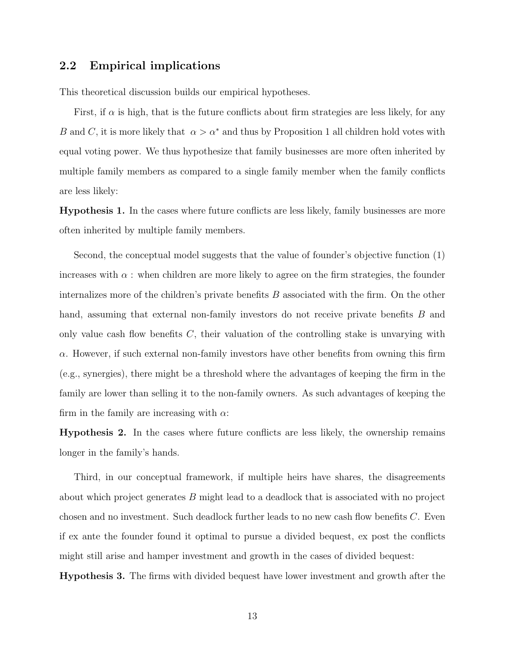### 2.2 Empirical implications

This theoretical discussion builds our empirical hypotheses.

First, if  $\alpha$  is high, that is the future conflicts about firm strategies are less likely, for any B and C, it is more likely that  $\alpha > \alpha^*$  and thus by Proposition 1 all children hold votes with equal voting power. We thus hypothesize that family businesses are more often inherited by multiple family members as compared to a single family member when the family conflicts are less likely:

Hypothesis 1. In the cases where future conflicts are less likely, family businesses are more often inherited by multiple family members.

Second, the conceptual model suggests that the value of founder's objective function (1) increases with  $\alpha$ : when children are more likely to agree on the firm strategies, the founder internalizes more of the children's private benefits  $B$  associated with the firm. On the other hand, assuming that external non-family investors do not receive private benefits B and only value cash flow benefits  $C$ , their valuation of the controlling stake is unvarying with  $\alpha$ . However, if such external non-family investors have other benefits from owning this firm (e.g., synergies), there might be a threshold where the advantages of keeping the firm in the family are lower than selling it to the non-family owners. As such advantages of keeping the firm in the family are increasing with  $\alpha$ :

Hypothesis 2. In the cases where future conflicts are less likely, the ownership remains longer in the family's hands.

Third, in our conceptual framework, if multiple heirs have shares, the disagreements about which project generates B might lead to a deadlock that is associated with no project chosen and no investment. Such deadlock further leads to no new cash flow benefits C. Even if ex ante the founder found it optimal to pursue a divided bequest, ex post the conflicts might still arise and hamper investment and growth in the cases of divided bequest:

Hypothesis 3. The firms with divided bequest have lower investment and growth after the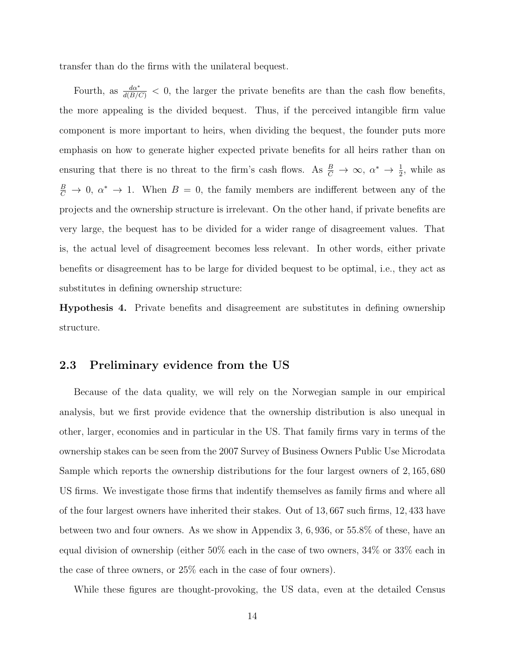transfer than do the firms with the unilateral bequest.

Fourth, as  $\frac{d\alpha^*}{d(B/C)} < 0$ , the larger the private benefits are than the cash flow benefits, the more appealing is the divided bequest. Thus, if the perceived intangible firm value component is more important to heirs, when dividing the bequest, the founder puts more emphasis on how to generate higher expected private benefits for all heirs rather than on ensuring that there is no threat to the firm's cash flows. As  $\frac{B}{C} \to \infty$ ,  $\alpha^* \to \frac{1}{2}$ , while as  $\frac{B}{C} \to 0$ ,  $\alpha^* \to 1$ . When  $B = 0$ , the family members are indifferent between any of the projects and the ownership structure is irrelevant. On the other hand, if private benefits are very large, the bequest has to be divided for a wider range of disagreement values. That is, the actual level of disagreement becomes less relevant. In other words, either private benefits or disagreement has to be large for divided bequest to be optimal, i.e., they act as substitutes in defining ownership structure:

Hypothesis 4. Private benefits and disagreement are substitutes in defining ownership structure.

### 2.3 Preliminary evidence from the US

Because of the data quality, we will rely on the Norwegian sample in our empirical analysis, but we first provide evidence that the ownership distribution is also unequal in other, larger, economies and in particular in the US. That family firms vary in terms of the ownership stakes can be seen from the 2007 Survey of Business Owners Public Use Microdata Sample which reports the ownership distributions for the four largest owners of 2, 165, 680 US firms. We investigate those firms that indentify themselves as family firms and where all of the four largest owners have inherited their stakes. Out of 13, 667 such firms, 12, 433 have between two and four owners. As we show in Appendix 3, 6, 936, or 55.8% of these, have an equal division of ownership (either 50% each in the case of two owners, 34% or 33% each in the case of three owners, or 25% each in the case of four owners).

While these figures are thought-provoking, the US data, even at the detailed Census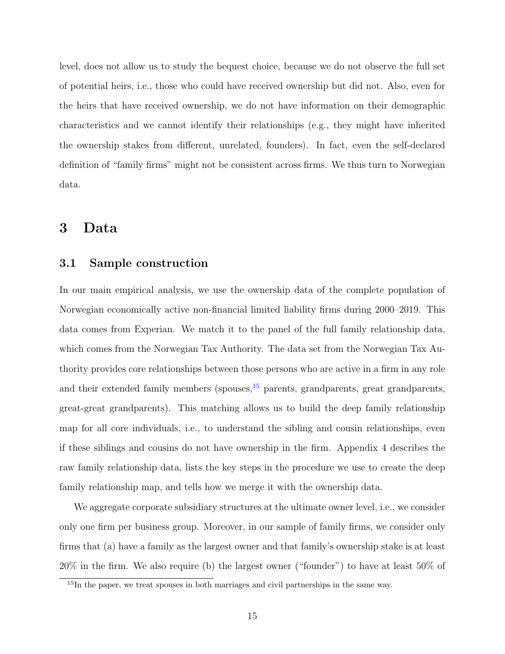level, does not allow us to study the bequest choice, because we do not observe the full set of potential heirs, i.e., those who could have received ownership but did not. Also, even for the heirs that have received ownership, we do not have information on their demographic characteristics and we cannot identify their relationships (e.g., they might have inherited the ownership stakes from different, unrelated, founders). In fact, even the self-declared definition of "family firms" might not be consistent across firms. We thus turn to Norwegian data.

## 3 Data

#### 3.1 Sample construction

In our main empirical analysis, we use the ownership data of the complete population of Norwegian economically active non-financial limited liability firms during 2000–2019. This data comes from Experian. We match it to the panel of the full family relationship data, which comes from the Norwegian Tax Authority. The data set from the Norwegian Tax Authority provides core relationships between those persons who are active in a firm in any role and their extended family members (spouses,  $15$  parents, grandparents, great grandparents, great-great grandparents). This matching allows us to build the deep family relationship map for all core individuals, i.e., to understand the sibling and cousin relationships, even if these siblings and cousins do not have ownership in the firm. Appendix 4 describes the raw family relationship data, lists the key steps in the procedure we use to create the deep family relationship map, and tells how we merge it with the ownership data.

We aggregate corporate subsidiary structures at the ultimate owner level, i.e., we consider only one firm per business group. Moreover, in our sample of family firms, we consider only firms that (a) have a family as the largest owner and that family's ownership stake is at least 20% in the firm. We also require (b) the largest owner ("founder") to have at least 50% of

<span id="page-15-0"></span><sup>&</sup>lt;sup>15</sup>In the paper, we treat spouses in both marriages and civil partnerships in the same way.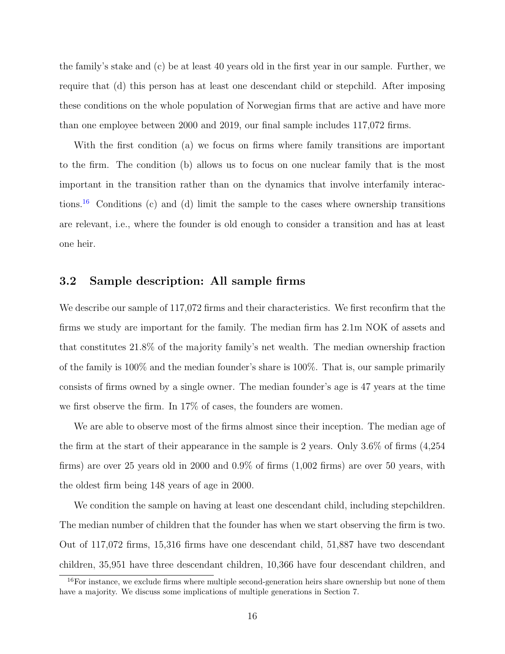the family's stake and (c) be at least 40 years old in the first year in our sample. Further, we require that (d) this person has at least one descendant child or stepchild. After imposing these conditions on the whole population of Norwegian firms that are active and have more than one employee between 2000 and 2019, our final sample includes 117,072 firms.

With the first condition (a) we focus on firms where family transitions are important to the firm. The condition (b) allows us to focus on one nuclear family that is the most important in the transition rather than on the dynamics that involve interfamily interactions.[16](#page-16-0) Conditions (c) and (d) limit the sample to the cases where ownership transitions are relevant, i.e., where the founder is old enough to consider a transition and has at least one heir.

### 3.2 Sample description: All sample firms

We describe our sample of  $117,072$  firms and their characteristics. We first reconfirm that the firms we study are important for the family. The median firm has 2.1m NOK of assets and that constitutes 21.8% of the majority family's net wealth. The median ownership fraction of the family is 100% and the median founder's share is 100%. That is, our sample primarily consists of firms owned by a single owner. The median founder's age is 47 years at the time we first observe the firm. In 17% of cases, the founders are women.

We are able to observe most of the firms almost since their inception. The median age of the firm at the start of their appearance in the sample is 2 years. Only 3.6% of firms (4,254 firms) are over 25 years old in 2000 and 0.9% of firms (1,002 firms) are over 50 years, with the oldest firm being 148 years of age in 2000.

We condition the sample on having at least one descendant child, including stepchildren. The median number of children that the founder has when we start observing the firm is two. Out of 117,072 firms, 15,316 firms have one descendant child, 51,887 have two descendant children, 35,951 have three descendant children, 10,366 have four descendant children, and

<span id="page-16-0"></span> $16$ For instance, we exclude firms where multiple second-generation heirs share ownership but none of them have a majority. We discuss some implications of multiple generations in Section 7.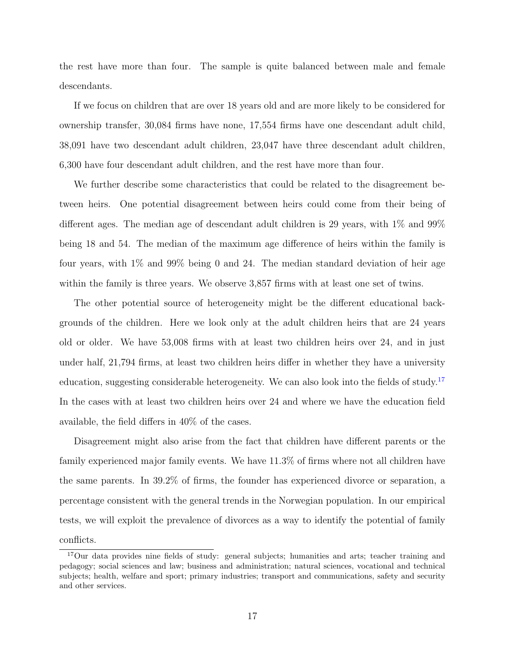the rest have more than four. The sample is quite balanced between male and female descendants.

If we focus on children that are over 18 years old and are more likely to be considered for ownership transfer, 30,084 firms have none, 17,554 firms have one descendant adult child, 38,091 have two descendant adult children, 23,047 have three descendant adult children, 6,300 have four descendant adult children, and the rest have more than four.

We further describe some characteristics that could be related to the disagreement between heirs. One potential disagreement between heirs could come from their being of different ages. The median age of descendant adult children is 29 years, with 1% and 99% being 18 and 54. The median of the maximum age difference of heirs within the family is four years, with 1% and 99% being 0 and 24. The median standard deviation of heir age within the family is three years. We observe 3,857 firms with at least one set of twins.

The other potential source of heterogeneity might be the different educational backgrounds of the children. Here we look only at the adult children heirs that are 24 years old or older. We have 53,008 firms with at least two children heirs over 24, and in just under half, 21,794 firms, at least two children heirs differ in whether they have a university education, suggesting considerable heterogeneity. We can also look into the fields of study.<sup>[17](#page-17-0)</sup> In the cases with at least two children heirs over 24 and where we have the education field available, the field differs in 40% of the cases.

Disagreement might also arise from the fact that children have different parents or the family experienced major family events. We have 11.3% of firms where not all children have the same parents. In 39.2% of firms, the founder has experienced divorce or separation, a percentage consistent with the general trends in the Norwegian population. In our empirical tests, we will exploit the prevalence of divorces as a way to identify the potential of family conflicts.

<span id="page-17-0"></span><sup>&</sup>lt;sup>17</sup>Our data provides nine fields of study: general subjects; humanities and arts; teacher training and pedagogy; social sciences and law; business and administration; natural sciences, vocational and technical subjects; health, welfare and sport; primary industries; transport and communications, safety and security and other services.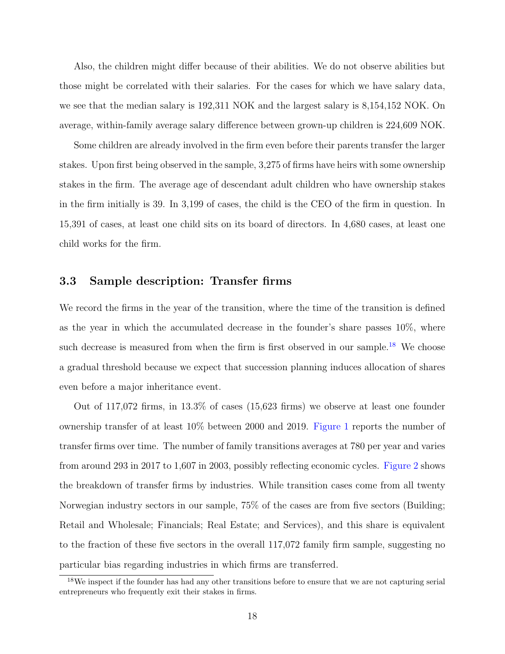Also, the children might differ because of their abilities. We do not observe abilities but those might be correlated with their salaries. For the cases for which we have salary data, we see that the median salary is 192,311 NOK and the largest salary is 8,154,152 NOK. On average, within-family average salary difference between grown-up children is 224,609 NOK.

Some children are already involved in the firm even before their parents transfer the larger stakes. Upon first being observed in the sample, 3,275 of firms have heirs with some ownership stakes in the firm. The average age of descendant adult children who have ownership stakes in the firm initially is 39. In 3,199 of cases, the child is the CEO of the firm in question. In 15,391 of cases, at least one child sits on its board of directors. In 4,680 cases, at least one child works for the firm.

### 3.3 Sample description: Transfer firms

We record the firms in the year of the transition, where the time of the transition is defined as the year in which the accumulated decrease in the founder's share passes 10%, where such decrease is measured from when the firm is first observed in our sample.<sup>[18](#page-18-0)</sup> We choose a gradual threshold because we expect that succession planning induces allocation of shares even before a major inheritance event.

Out of 117,072 firms, in 13.3% of cases (15,623 firms) we observe at least one founder ownership transfer of at least 10% between 2000 and 2019. [Figure 1](#page-50-0) reports the number of transfer firms over time. The number of family transitions averages at 780 per year and varies from around 293 in 2017 to 1,607 in 2003, possibly reflecting economic cycles. [Figure 2](#page-51-0) shows the breakdown of transfer firms by industries. While transition cases come from all twenty Norwegian industry sectors in our sample, 75% of the cases are from five sectors (Building; Retail and Wholesale; Financials; Real Estate; and Services), and this share is equivalent to the fraction of these five sectors in the overall 117,072 family firm sample, suggesting no particular bias regarding industries in which firms are transferred.

<span id="page-18-0"></span><sup>&</sup>lt;sup>18</sup>We inspect if the founder has had any other transitions before to ensure that we are not capturing serial entrepreneurs who frequently exit their stakes in firms.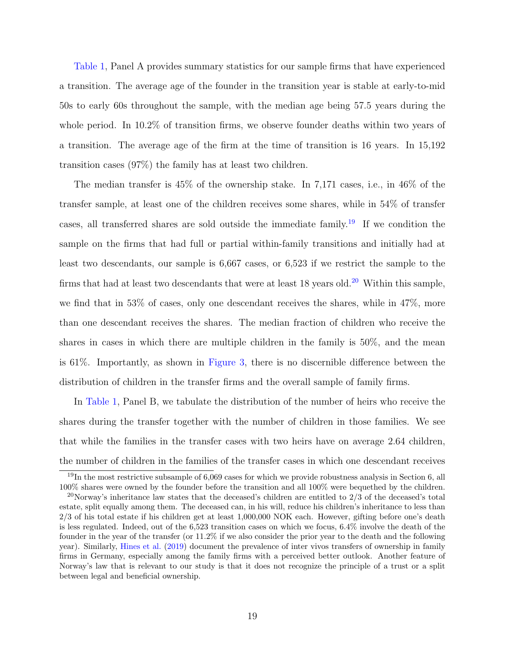[Table 1,](#page-38-0) Panel A provides summary statistics for our sample firms that have experienced a transition. The average age of the founder in the transition year is stable at early-to-mid 50s to early 60s throughout the sample, with the median age being 57.5 years during the whole period. In 10.2% of transition firms, we observe founder deaths within two years of a transition. The average age of the firm at the time of transition is 16 years. In 15,192 transition cases (97%) the family has at least two children.

The median transfer is 45% of the ownership stake. In 7,171 cases, i.e., in 46% of the transfer sample, at least one of the children receives some shares, while in 54% of transfer cases, all transferred shares are sold outside the immediate family.<sup>[19](#page-19-0)</sup> If we condition the sample on the firms that had full or partial within-family transitions and initially had at least two descendants, our sample is 6,667 cases, or 6,523 if we restrict the sample to the firms that had at least two descendants that were at least  $18$  years old.<sup>[20](#page-19-1)</sup> Within this sample, we find that in 53% of cases, only one descendant receives the shares, while in 47%, more than one descendant receives the shares. The median fraction of children who receive the shares in cases in which there are multiple children in the family is 50%, and the mean is 61%. Importantly, as shown in [Figure 3,](#page-52-0) there is no discernible difference between the distribution of children in the transfer firms and the overall sample of family firms.

In [Table 1,](#page-38-0) Panel B, we tabulate the distribution of the number of heirs who receive the shares during the transfer together with the number of children in those families. We see that while the families in the transfer cases with two heirs have on average 2.64 children, the number of children in the families of the transfer cases in which one descendant receives

<span id="page-19-0"></span> $19$ In the most restrictive subsample of 6,069 cases for which we provide robustness analysis in Section 6, all 100% shares were owned by the founder before the transition and all 100% were bequethed by the children.

<span id="page-19-1"></span><sup>&</sup>lt;sup>20</sup>Norway's inheritance law states that the deceased's children are entitled to  $2/3$  of the deceased's total estate, split equally among them. The deceased can, in his will, reduce his children's inheritance to less than 2/3 of his total estate if his children get at least 1,000,000 NOK each. However, gifting before one's death is less regulated. Indeed, out of the 6,523 transition cases on which we focus, 6.4% involve the death of the founder in the year of the transfer (or 11.2% if we also consider the prior year to the death and the following year). Similarly, [Hines et al.](#page-35-13) [\(2019\)](#page-35-13) document the prevalence of inter vivos transfers of ownership in family firms in Germany, especially among the family firms with a perceived better outlook. Another feature of Norway's law that is relevant to our study is that it does not recognize the principle of a trust or a split between legal and beneficial ownership.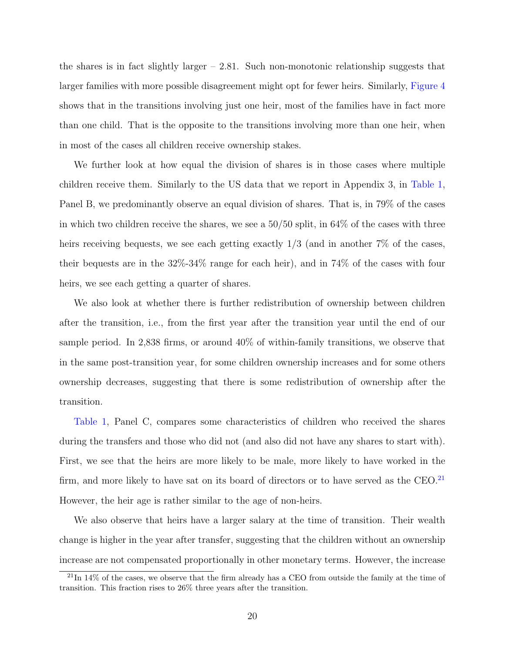the shares is in fact slightly larger  $-2.81$ . Such non-monotonic relationship suggests that larger families with more possible disagreement might opt for fewer heirs. Similarly, [Figure 4](#page-53-0) shows that in the transitions involving just one heir, most of the families have in fact more than one child. That is the opposite to the transitions involving more than one heir, when in most of the cases all children receive ownership stakes.

We further look at how equal the division of shares is in those cases where multiple children receive them. Similarly to the US data that we report in Appendix 3, in [Table 1,](#page-38-0) Panel B, we predominantly observe an equal division of shares. That is, in 79% of the cases in which two children receive the shares, we see a 50/50 split, in 64% of the cases with three heirs receiving bequests, we see each getting exactly  $1/3$  (and in another  $7\%$  of the cases, their bequests are in the 32%-34% range for each heir), and in 74% of the cases with four heirs, we see each getting a quarter of shares.

We also look at whether there is further redistribution of ownership between children after the transition, i.e., from the first year after the transition year until the end of our sample period. In 2,838 firms, or around 40% of within-family transitions, we observe that in the same post-transition year, for some children ownership increases and for some others ownership decreases, suggesting that there is some redistribution of ownership after the transition.

[Table 1,](#page-38-0) Panel C, compares some characteristics of children who received the shares during the transfers and those who did not (and also did not have any shares to start with). First, we see that the heirs are more likely to be male, more likely to have worked in the firm, and more likely to have sat on its board of directors or to have served as the CEO.<sup>[21](#page-20-0)</sup> However, the heir age is rather similar to the age of non-heirs.

We also observe that heirs have a larger salary at the time of transition. Their wealth change is higher in the year after transfer, suggesting that the children without an ownership increase are not compensated proportionally in other monetary terms. However, the increase

<span id="page-20-0"></span> $^{21}$ In 14% of the cases, we observe that the firm already has a CEO from outside the family at the time of transition. This fraction rises to 26% three years after the transition.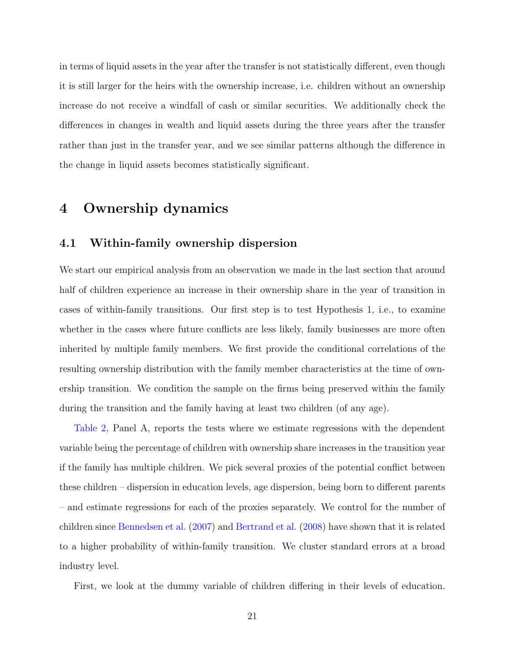in terms of liquid assets in the year after the transfer is not statistically different, even though it is still larger for the heirs with the ownership increase, i.e. children without an ownership increase do not receive a windfall of cash or similar securities. We additionally check the differences in changes in wealth and liquid assets during the three years after the transfer rather than just in the transfer year, and we see similar patterns although the difference in the change in liquid assets becomes statistically significant.

## 4 Ownership dynamics

### 4.1 Within-family ownership dispersion

We start our empirical analysis from an observation we made in the last section that around half of children experience an increase in their ownership share in the year of transition in cases of within-family transitions. Our first step is to test Hypothesis 1, i.e., to examine whether in the cases where future conflicts are less likely, family businesses are more often inherited by multiple family members. We first provide the conditional correlations of the resulting ownership distribution with the family member characteristics at the time of ownership transition. We condition the sample on the firms being preserved within the family during the transition and the family having at least two children (of any age).

[Table 2,](#page-40-0) Panel A, reports the tests where we estimate regressions with the dependent variable being the percentage of children with ownership share increases in the transition year if the family has multiple children. We pick several proxies of the potential conflict between these children – dispersion in education levels, age dispersion, being born to different parents – and estimate regressions for each of the proxies separately. We control for the number of children since [Bennedsen et al.](#page-34-1) [\(2007\)](#page-34-1) and [Bertrand et al.](#page-34-5) [\(2008\)](#page-34-5) have shown that it is related to a higher probability of within-family transition. We cluster standard errors at a broad industry level.

First, we look at the dummy variable of children differing in their levels of education.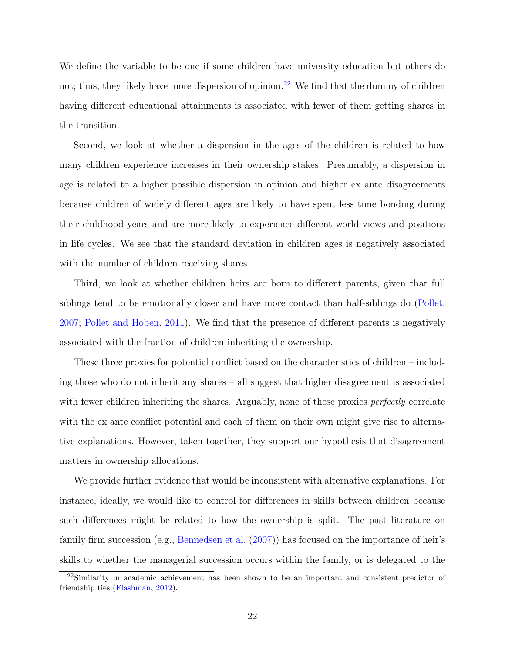We define the variable to be one if some children have university education but others do not; thus, they likely have more dispersion of opinion.<sup>[22](#page-22-0)</sup> We find that the dummy of children having different educational attainments is associated with fewer of them getting shares in the transition.

Second, we look at whether a dispersion in the ages of the children is related to how many children experience increases in their ownership stakes. Presumably, a dispersion in age is related to a higher possible dispersion in opinion and higher ex ante disagreements because children of widely different ages are likely to have spent less time bonding during their childhood years and are more likely to experience different world views and positions in life cycles. We see that the standard deviation in children ages is negatively associated with the number of children receiving shares.

Third, we look at whether children heirs are born to different parents, given that full siblings tend to be emotionally closer and have more contact than half-siblings do [\(Pollet,](#page-36-12) [2007;](#page-36-12) [Pollet and Hoben,](#page-36-13) [2011\)](#page-36-13). We find that the presence of different parents is negatively associated with the fraction of children inheriting the ownership.

These three proxies for potential conflict based on the characteristics of children – including those who do not inherit any shares – all suggest that higher disagreement is associated with fewer children inheriting the shares. Arguably, none of these proxies *perfectly* correlate with the ex ante conflict potential and each of them on their own might give rise to alternative explanations. However, taken together, they support our hypothesis that disagreement matters in ownership allocations.

We provide further evidence that would be inconsistent with alternative explanations. For instance, ideally, we would like to control for differences in skills between children because such differences might be related to how the ownership is split. The past literature on family firm succession (e.g., [Bennedsen et al.](#page-34-1) [\(2007\)](#page-34-1)) has focused on the importance of heir's skills to whether the managerial succession occurs within the family, or is delegated to the

<span id="page-22-0"></span><sup>&</sup>lt;sup>22</sup>Similarity in academic achievement has been shown to be an important and consistent predictor of friendship ties [\(Flashman,](#page-35-14) [2012\)](#page-35-14).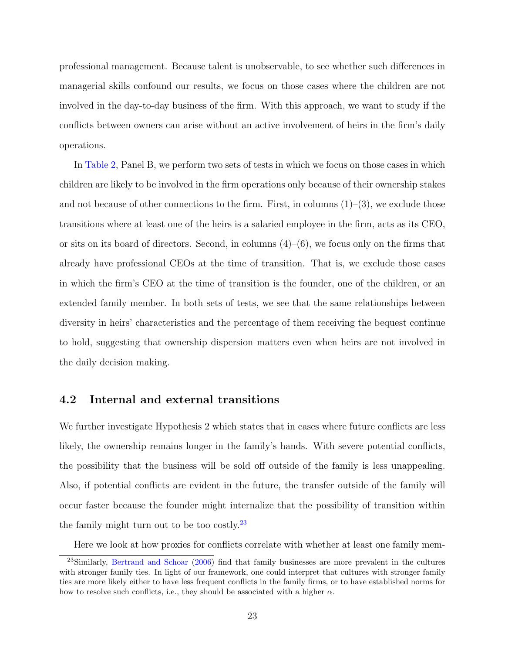professional management. Because talent is unobservable, to see whether such differences in managerial skills confound our results, we focus on those cases where the children are not involved in the day-to-day business of the firm. With this approach, we want to study if the conflicts between owners can arise without an active involvement of heirs in the firm's daily operations.

In [Table 2,](#page-40-0) Panel B, we perform two sets of tests in which we focus on those cases in which children are likely to be involved in the firm operations only because of their ownership stakes and not because of other connections to the firm. First, in columns  $(1)-(3)$ , we exclude those transitions where at least one of the heirs is a salaried employee in the firm, acts as its CEO, or sits on its board of directors. Second, in columns  $(4)$ – $(6)$ , we focus only on the firms that already have professional CEOs at the time of transition. That is, we exclude those cases in which the firm's CEO at the time of transition is the founder, one of the children, or an extended family member. In both sets of tests, we see that the same relationships between diversity in heirs' characteristics and the percentage of them receiving the bequest continue to hold, suggesting that ownership dispersion matters even when heirs are not involved in the daily decision making.

### 4.2 Internal and external transitions

We further investigate Hypothesis 2 which states that in cases where future conflicts are less likely, the ownership remains longer in the family's hands. With severe potential conflicts, the possibility that the business will be sold off outside of the family is less unappealing. Also, if potential conflicts are evident in the future, the transfer outside of the family will occur faster because the founder might internalize that the possibility of transition within the family might turn out to be too costly. $^{23}$  $^{23}$  $^{23}$ 

<span id="page-23-0"></span>Here we look at how proxies for conflicts correlate with whether at least one family mem-

<sup>23</sup>Similarly, [Bertrand and Schoar](#page-34-11) [\(2006\)](#page-34-11) find that family businesses are more prevalent in the cultures with stronger family ties. In light of our framework, one could interpret that cultures with stronger family ties are more likely either to have less frequent conflicts in the family firms, or to have established norms for how to resolve such conflicts, i.e., they should be associated with a higher  $\alpha$ .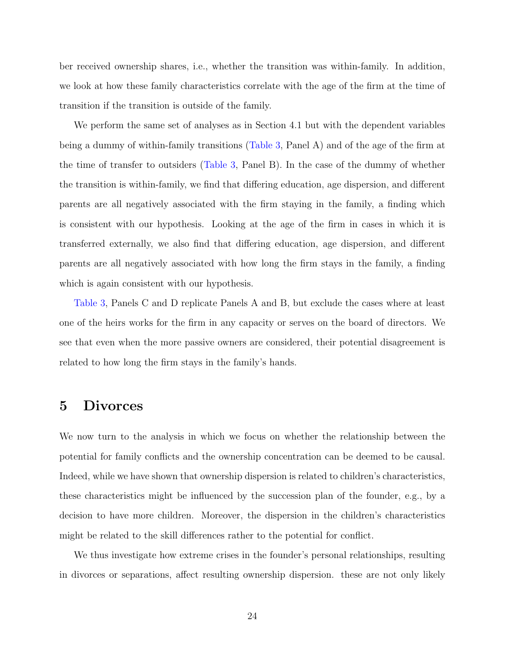ber received ownership shares, i.e., whether the transition was within-family. In addition, we look at how these family characteristics correlate with the age of the firm at the time of transition if the transition is outside of the family.

We perform the same set of analyses as in Section 4.1 but with the dependent variables being a dummy of within-family transitions [\(Table 3,](#page-41-0) Panel A) and of the age of the firm at the time of transfer to outsiders [\(Table 3,](#page-41-0) Panel B). In the case of the dummy of whether the transition is within-family, we find that differing education, age dispersion, and different parents are all negatively associated with the firm staying in the family, a finding which is consistent with our hypothesis. Looking at the age of the firm in cases in which it is transferred externally, we also find that differing education, age dispersion, and different parents are all negatively associated with how long the firm stays in the family, a finding which is again consistent with our hypothesis.

[Table 3,](#page-41-0) Panels C and D replicate Panels A and B, but exclude the cases where at least one of the heirs works for the firm in any capacity or serves on the board of directors. We see that even when the more passive owners are considered, their potential disagreement is related to how long the firm stays in the family's hands.

## 5 Divorces

We now turn to the analysis in which we focus on whether the relationship between the potential for family conflicts and the ownership concentration can be deemed to be causal. Indeed, while we have shown that ownership dispersion is related to children's characteristics, these characteristics might be influenced by the succession plan of the founder, e.g., by a decision to have more children. Moreover, the dispersion in the children's characteristics might be related to the skill differences rather to the potential for conflict.

We thus investigate how extreme crises in the founder's personal relationships, resulting in divorces or separations, affect resulting ownership dispersion. these are not only likely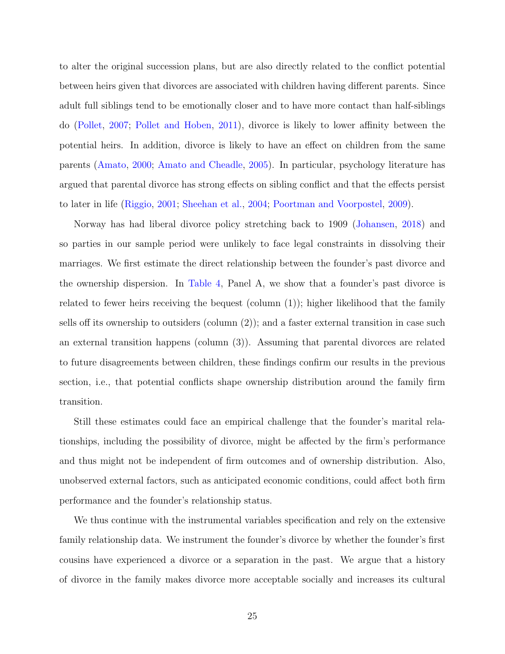to alter the original succession plans, but are also directly related to the conflict potential between heirs given that divorces are associated with children having different parents. Since adult full siblings tend to be emotionally closer and to have more contact than half-siblings do [\(Pollet,](#page-36-12) [2007;](#page-36-12) [Pollet and Hoben,](#page-36-13) [2011\)](#page-36-13), divorce is likely to lower affinity between the potential heirs. In addition, divorce is likely to have an effect on children from the same parents [\(Amato,](#page-34-12) [2000;](#page-34-12) [Amato and Cheadle,](#page-34-13) [2005\)](#page-34-13). In particular, psychology literature has argued that parental divorce has strong effects on sibling conflict and that the effects persist to later in life [\(Riggio,](#page-36-14) [2001;](#page-36-14) [Sheehan et al.,](#page-36-15) [2004;](#page-36-15) [Poortman and Voorpostel,](#page-36-16) [2009\)](#page-36-16).

Norway has had liberal divorce policy stretching back to 1909 [\(Johansen,](#page-35-15) [2018\)](#page-35-15) and so parties in our sample period were unlikely to face legal constraints in dissolving their marriages. We first estimate the direct relationship between the founder's past divorce and the ownership dispersion. In [Table 4,](#page-43-0) Panel A, we show that a founder's past divorce is related to fewer heirs receiving the bequest (column (1)); higher likelihood that the family sells off its ownership to outsiders (column (2)); and a faster external transition in case such an external transition happens (column (3)). Assuming that parental divorces are related to future disagreements between children, these findings confirm our results in the previous section, i.e., that potential conflicts shape ownership distribution around the family firm transition.

Still these estimates could face an empirical challenge that the founder's marital relationships, including the possibility of divorce, might be affected by the firm's performance and thus might not be independent of firm outcomes and of ownership distribution. Also, unobserved external factors, such as anticipated economic conditions, could affect both firm performance and the founder's relationship status.

We thus continue with the instrumental variables specification and rely on the extensive family relationship data. We instrument the founder's divorce by whether the founder's first cousins have experienced a divorce or a separation in the past. We argue that a history of divorce in the family makes divorce more acceptable socially and increases its cultural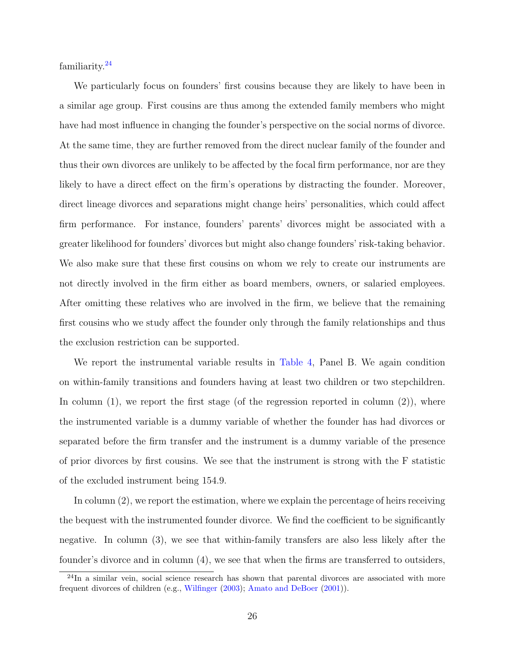familiarity.[24](#page-26-0)

We particularly focus on founders' first cousins because they are likely to have been in a similar age group. First cousins are thus among the extended family members who might have had most influence in changing the founder's perspective on the social norms of divorce. At the same time, they are further removed from the direct nuclear family of the founder and thus their own divorces are unlikely to be affected by the focal firm performance, nor are they likely to have a direct effect on the firm's operations by distracting the founder. Moreover, direct lineage divorces and separations might change heirs' personalities, which could affect firm performance. For instance, founders' parents' divorces might be associated with a greater likelihood for founders' divorces but might also change founders' risk-taking behavior. We also make sure that these first cousins on whom we rely to create our instruments are not directly involved in the firm either as board members, owners, or salaried employees. After omitting these relatives who are involved in the firm, we believe that the remaining first cousins who we study affect the founder only through the family relationships and thus the exclusion restriction can be supported.

We report the instrumental variable results in [Table 4,](#page-43-0) Panel B. We again condition on within-family transitions and founders having at least two children or two stepchildren. In column  $(1)$ , we report the first stage (of the regression reported in column  $(2)$ ), where the instrumented variable is a dummy variable of whether the founder has had divorces or separated before the firm transfer and the instrument is a dummy variable of the presence of prior divorces by first cousins. We see that the instrument is strong with the F statistic of the excluded instrument being 154.9.

In column (2), we report the estimation, where we explain the percentage of heirs receiving the bequest with the instrumented founder divorce. We find the coefficient to be significantly negative. In column (3), we see that within-family transfers are also less likely after the founder's divorce and in column (4), we see that when the firms are transferred to outsiders,

<span id="page-26-0"></span> $^{24}$ In a similar vein, social science research has shown that parental divorces are associated with more frequent divorces of children (e.g., [Wilfinger](#page-37-3) [\(2003\)](#page-37-3); [Amato and DeBoer](#page-34-14) [\(2001\)](#page-34-14)).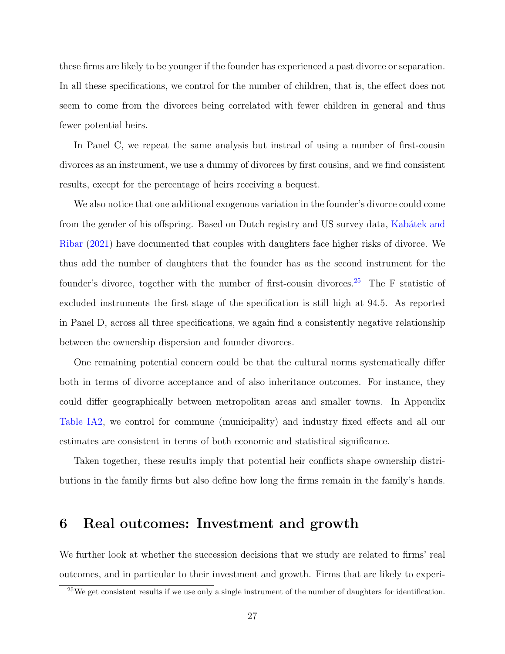these firms are likely to be younger if the founder has experienced a past divorce or separation. In all these specifications, we control for the number of children, that is, the effect does not seem to come from the divorces being correlated with fewer children in general and thus fewer potential heirs.

In Panel C, we repeat the same analysis but instead of using a number of first-cousin divorces as an instrument, we use a dummy of divorces by first cousins, and we find consistent results, except for the percentage of heirs receiving a bequest.

We also notice that one additional exogenous variation in the founder's divorce could come from the gender of his offspring. Based on Dutch registry and US survey data, Kabátek and [Ribar](#page-35-16) [\(2021\)](#page-35-16) have documented that couples with daughters face higher risks of divorce. We thus add the number of daughters that the founder has as the second instrument for the founder's divorce, together with the number of first-cousin divorces.<sup>[25](#page-27-0)</sup> The F statistic of excluded instruments the first stage of the specification is still high at 94.5. As reported in Panel D, across all three specifications, we again find a consistently negative relationship between the ownership dispersion and founder divorces.

One remaining potential concern could be that the cultural norms systematically differ both in terms of divorce acceptance and of also inheritance outcomes. For instance, they could differ geographically between metropolitan areas and smaller towns. In Appendix [Table IA2,](#page-64-0) we control for commune (municipality) and industry fixed effects and all our estimates are consistent in terms of both economic and statistical significance.

Taken together, these results imply that potential heir conflicts shape ownership distributions in the family firms but also define how long the firms remain in the family's hands.

## 6 Real outcomes: Investment and growth

We further look at whether the succession decisions that we study are related to firms' real outcomes, and in particular to their investment and growth. Firms that are likely to experi-

<span id="page-27-0"></span> $25$ We get consistent results if we use only a single instrument of the number of daughters for identification.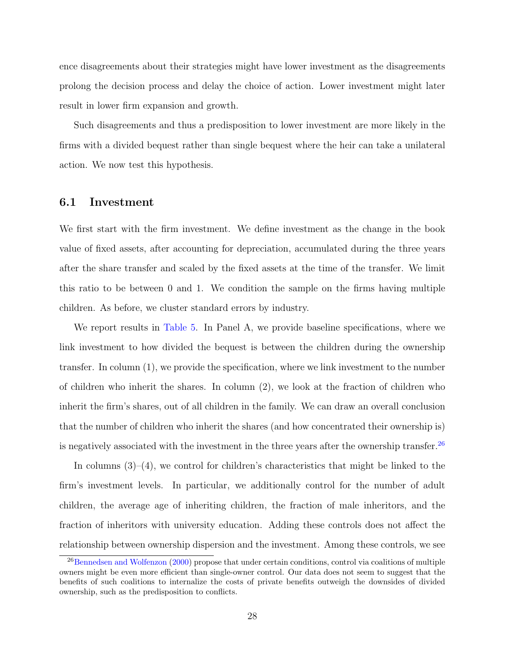ence disagreements about their strategies might have lower investment as the disagreements prolong the decision process and delay the choice of action. Lower investment might later result in lower firm expansion and growth.

Such disagreements and thus a predisposition to lower investment are more likely in the firms with a divided bequest rather than single bequest where the heir can take a unilateral action. We now test this hypothesis.

#### 6.1 Investment

We first start with the firm investment. We define investment as the change in the book value of fixed assets, after accounting for depreciation, accumulated during the three years after the share transfer and scaled by the fixed assets at the time of the transfer. We limit this ratio to be between 0 and 1. We condition the sample on the firms having multiple children. As before, we cluster standard errors by industry.

We report results in [Table 5.](#page-46-0) In Panel A, we provide baseline specifications, where we link investment to how divided the bequest is between the children during the ownership transfer. In column (1), we provide the specification, where we link investment to the number of children who inherit the shares. In column (2), we look at the fraction of children who inherit the firm's shares, out of all children in the family. We can draw an overall conclusion that the number of children who inherit the shares (and how concentrated their ownership is) is negatively associated with the investment in the three years after the ownership transfer.<sup>[26](#page-28-0)</sup>

In columns (3)–(4), we control for children's characteristics that might be linked to the firm's investment levels. In particular, we additionally control for the number of adult children, the average age of inheriting children, the fraction of male inheritors, and the fraction of inheritors with university education. Adding these controls does not affect the relationship between ownership dispersion and the investment. Among these controls, we see

<span id="page-28-0"></span><sup>&</sup>lt;sup>26</sup>[Bennedsen and Wolfenzon](#page-34-4) [\(2000\)](#page-34-4) propose that under certain conditions, control via coalitions of multiple owners might be even more efficient than single-owner control. Our data does not seem to suggest that the benefits of such coalitions to internalize the costs of private benefits outweigh the downsides of divided ownership, such as the predisposition to conflicts.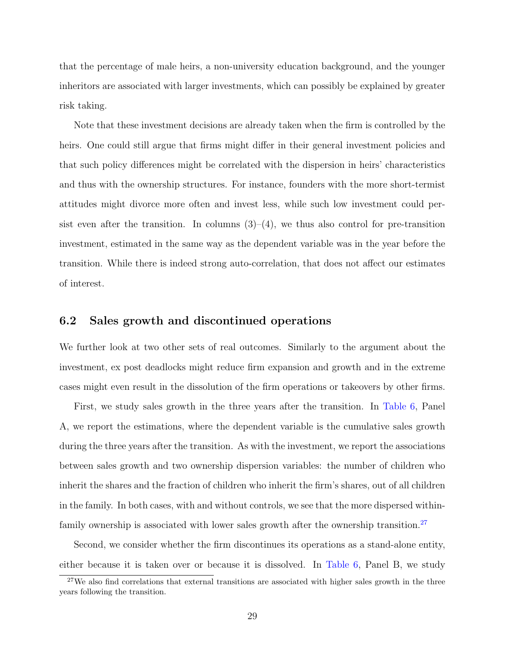that the percentage of male heirs, a non-university education background, and the younger inheritors are associated with larger investments, which can possibly be explained by greater risk taking.

Note that these investment decisions are already taken when the firm is controlled by the heirs. One could still argue that firms might differ in their general investment policies and that such policy differences might be correlated with the dispersion in heirs' characteristics and thus with the ownership structures. For instance, founders with the more short-termist attitudes might divorce more often and invest less, while such low investment could persist even after the transition. In columns  $(3)-(4)$ , we thus also control for pre-transition investment, estimated in the same way as the dependent variable was in the year before the transition. While there is indeed strong auto-correlation, that does not affect our estimates of interest.

### 6.2 Sales growth and discontinued operations

We further look at two other sets of real outcomes. Similarly to the argument about the investment, ex post deadlocks might reduce firm expansion and growth and in the extreme cases might even result in the dissolution of the firm operations or takeovers by other firms.

First, we study sales growth in the three years after the transition. In [Table 6,](#page-47-0) Panel A, we report the estimations, where the dependent variable is the cumulative sales growth during the three years after the transition. As with the investment, we report the associations between sales growth and two ownership dispersion variables: the number of children who inherit the shares and the fraction of children who inherit the firm's shares, out of all children in the family. In both cases, with and without controls, we see that the more dispersed within-family ownership is associated with lower sales growth after the ownership transition.<sup>[27](#page-29-0)</sup>

Second, we consider whether the firm discontinues its operations as a stand-alone entity, either because it is taken over or because it is dissolved. In [Table 6,](#page-47-0) Panel B, we study

<span id="page-29-0"></span> $27$ We also find correlations that external transitions are associated with higher sales growth in the three years following the transition.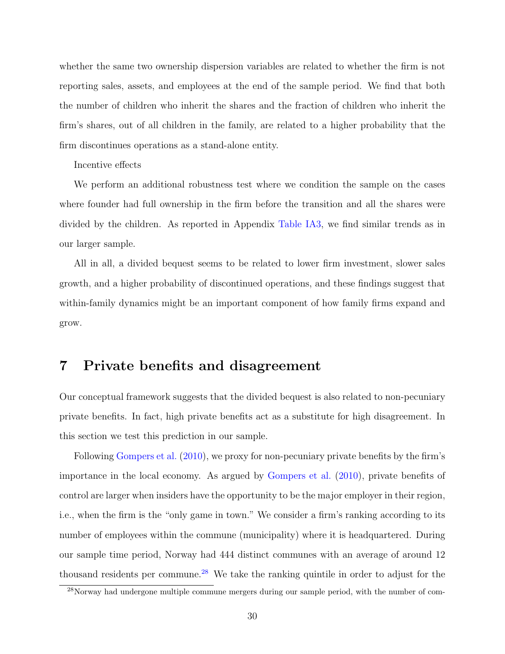whether the same two ownership dispersion variables are related to whether the firm is not reporting sales, assets, and employees at the end of the sample period. We find that both the number of children who inherit the shares and the fraction of children who inherit the firm's shares, out of all children in the family, are related to a higher probability that the firm discontinues operations as a stand-alone entity.

#### Incentive effects

We perform an additional robustness test where we condition the sample on the cases where founder had full ownership in the firm before the transition and all the shares were divided by the children. As reported in Appendix [Table IA3,](#page-65-0) we find similar trends as in our larger sample.

All in all, a divided bequest seems to be related to lower firm investment, slower sales growth, and a higher probability of discontinued operations, and these findings suggest that within-family dynamics might be an important component of how family firms expand and grow.

## 7 Private benefits and disagreement

Our conceptual framework suggests that the divided bequest is also related to non-pecuniary private benefits. In fact, high private benefits act as a substitute for high disagreement. In this section we test this prediction in our sample.

Following [Gompers et al.](#page-35-17) [\(2010\)](#page-35-17), we proxy for non-pecuniary private benefits by the firm's importance in the local economy. As argued by [Gompers et al.](#page-35-17) [\(2010\)](#page-35-17), private benefits of control are larger when insiders have the opportunity to be the major employer in their region, i.e., when the firm is the "only game in town." We consider a firm's ranking according to its number of employees within the commune (municipality) where it is headquartered. During our sample time period, Norway had 444 distinct communes with an average of around 12 thousand residents per commune.<sup>[28](#page-30-0)</sup> We take the ranking quintile in order to adjust for the

<span id="page-30-0"></span> $28$ Norway had undergone multiple commune mergers during our sample period, with the number of com-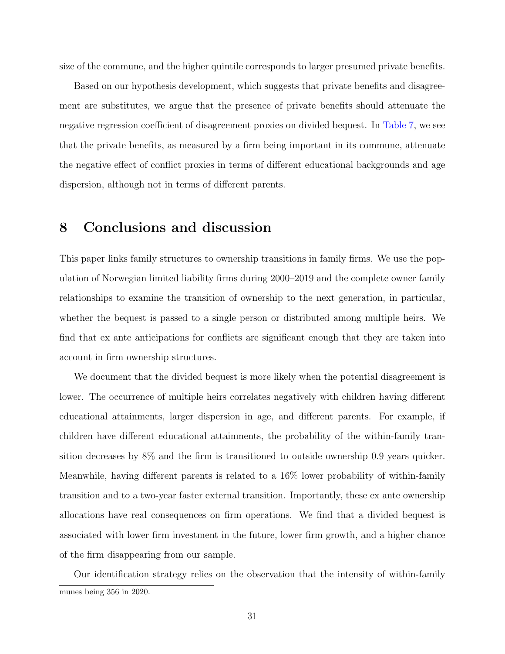size of the commune, and the higher quintile corresponds to larger presumed private benefits.

Based on our hypothesis development, which suggests that private benefits and disagreement are substitutes, we argue that the presence of private benefits should attenuate the negative regression coefficient of disagreement proxies on divided bequest. In [Table 7,](#page-49-0) we see that the private benefits, as measured by a firm being important in its commune, attenuate the negative effect of conflict proxies in terms of different educational backgrounds and age dispersion, although not in terms of different parents.

## 8 Conclusions and discussion

This paper links family structures to ownership transitions in family firms. We use the population of Norwegian limited liability firms during 2000–2019 and the complete owner family relationships to examine the transition of ownership to the next generation, in particular, whether the bequest is passed to a single person or distributed among multiple heirs. We find that ex ante anticipations for conflicts are significant enough that they are taken into account in firm ownership structures.

We document that the divided bequest is more likely when the potential disagreement is lower. The occurrence of multiple heirs correlates negatively with children having different educational attainments, larger dispersion in age, and different parents. For example, if children have different educational attainments, the probability of the within-family transition decreases by 8% and the firm is transitioned to outside ownership 0.9 years quicker. Meanwhile, having different parents is related to a 16% lower probability of within-family transition and to a two-year faster external transition. Importantly, these ex ante ownership allocations have real consequences on firm operations. We find that a divided bequest is associated with lower firm investment in the future, lower firm growth, and a higher chance of the firm disappearing from our sample.

Our identification strategy relies on the observation that the intensity of within-family munes being 356 in 2020.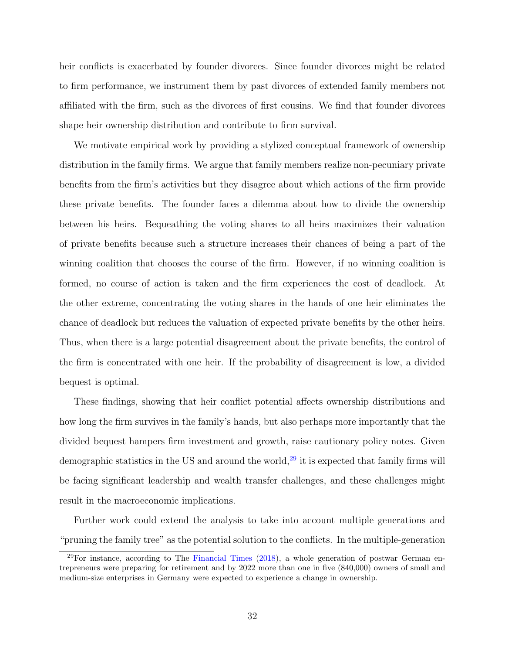heir conflicts is exacerbated by founder divorces. Since founder divorces might be related to firm performance, we instrument them by past divorces of extended family members not affiliated with the firm, such as the divorces of first cousins. We find that founder divorces shape heir ownership distribution and contribute to firm survival.

We motivate empirical work by providing a stylized conceptual framework of ownership distribution in the family firms. We argue that family members realize non-pecuniary private benefits from the firm's activities but they disagree about which actions of the firm provide these private benefits. The founder faces a dilemma about how to divide the ownership between his heirs. Bequeathing the voting shares to all heirs maximizes their valuation of private benefits because such a structure increases their chances of being a part of the winning coalition that chooses the course of the firm. However, if no winning coalition is formed, no course of action is taken and the firm experiences the cost of deadlock. At the other extreme, concentrating the voting shares in the hands of one heir eliminates the chance of deadlock but reduces the valuation of expected private benefits by the other heirs. Thus, when there is a large potential disagreement about the private benefits, the control of the firm is concentrated with one heir. If the probability of disagreement is low, a divided bequest is optimal.

These findings, showing that heir conflict potential affects ownership distributions and how long the firm survives in the family's hands, but also perhaps more importantly that the divided bequest hampers firm investment and growth, raise cautionary policy notes. Given demographic statistics in the US and around the world, $29$  it is expected that family firms will be facing significant leadership and wealth transfer challenges, and these challenges might result in the macroeconomic implications.

Further work could extend the analysis to take into account multiple generations and "pruning the family tree" as the potential solution to the conflicts. In the multiple-generation

<span id="page-32-0"></span> $29$ For instance, according to The [Financial Times](#page-35-18)  $(2018)$ , a whole generation of postwar German entrepreneurs were preparing for retirement and by 2022 more than one in five (840,000) owners of small and medium-size enterprises in Germany were expected to experience a change in ownership.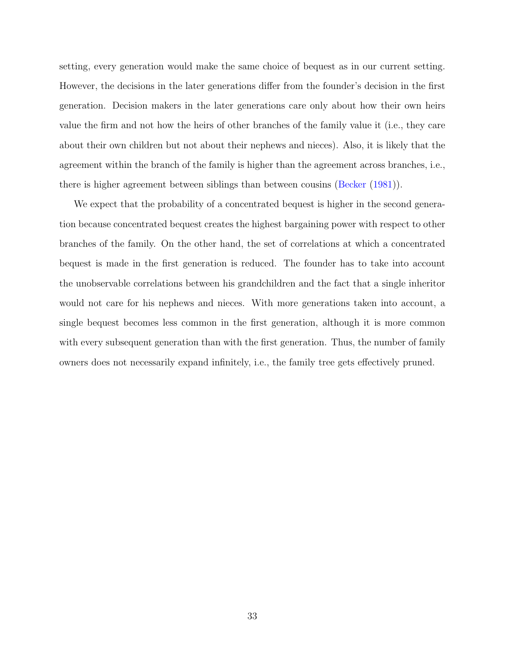setting, every generation would make the same choice of bequest as in our current setting. However, the decisions in the later generations differ from the founder's decision in the first generation. Decision makers in the later generations care only about how their own heirs value the firm and not how the heirs of other branches of the family value it (i.e., they care about their own children but not about their nephews and nieces). Also, it is likely that the agreement within the branch of the family is higher than the agreement across branches, i.e., there is higher agreement between siblings than between cousins [\(Becker](#page-34-15) [\(1981\)](#page-34-15)).

We expect that the probability of a concentrated bequest is higher in the second generation because concentrated bequest creates the highest bargaining power with respect to other branches of the family. On the other hand, the set of correlations at which a concentrated bequest is made in the first generation is reduced. The founder has to take into account the unobservable correlations between his grandchildren and the fact that a single inheritor would not care for his nephews and nieces. With more generations taken into account, a single bequest becomes less common in the first generation, although it is more common with every subsequent generation than with the first generation. Thus, the number of family owners does not necessarily expand infinitely, i.e., the family tree gets effectively pruned.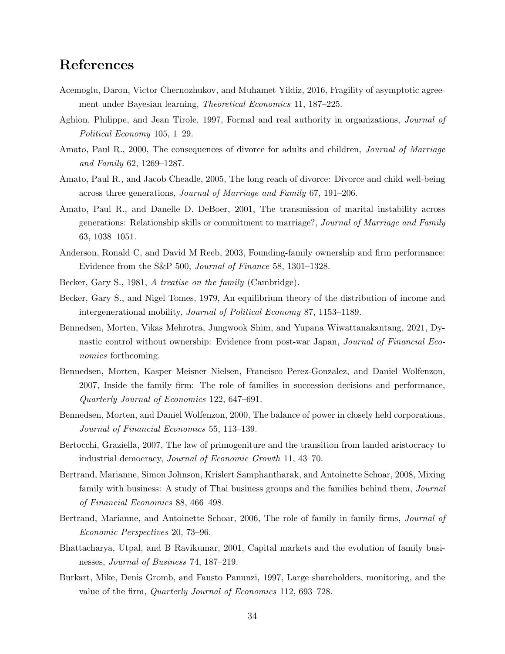## References

- <span id="page-34-10"></span>Acemoglu, Daron, Victor Chernozhukov, and Muhamet Yildiz, 2016, Fragility of asymptotic agreement under Bayesian learning, Theoretical Economics 11, 187–225.
- <span id="page-34-8"></span>Aghion, Philippe, and Jean Tirole, 1997, Formal and real authority in organizations, Journal of Political Economy 105, 1–29.
- <span id="page-34-12"></span>Amato, Paul R., 2000, The consequences of divorce for adults and children, *Journal of Marriage* and Family 62, 1269–1287.
- <span id="page-34-13"></span>Amato, Paul R., and Jacob Cheadle, 2005, The long reach of divorce: Divorce and child well-being across three generations, Journal of Marriage and Family 67, 191–206.
- <span id="page-34-14"></span>Amato, Paul R., and Danelle D. DeBoer, 2001, The transmission of marital instability across generations: Relationship skills or commitment to marriage?, Journal of Marriage and Family 63, 1038–1051.
- <span id="page-34-0"></span>Anderson, Ronald C, and David M Reeb, 2003, Founding-family ownership and firm performance: Evidence from the S&P 500, Journal of Finance 58, 1301–1328.
- <span id="page-34-15"></span>Becker, Gary S., 1981, A treatise on the family (Cambridge).
- <span id="page-34-6"></span>Becker, Gary S., and Nigel Tomes, 1979, An equilibrium theory of the distribution of income and intergenerational mobility, Journal of Political Economy 87, 1153–1189.
- <span id="page-34-2"></span>Bennedsen, Morten, Vikas Mehrotra, Jungwook Shim, and Yupana Wiwattanakantang, 2021, Dynastic control without ownership: Evidence from post-war Japan, *Journal of Financial Eco*nomics forthcoming.
- <span id="page-34-1"></span>Bennedsen, Morten, Kasper Meisner Nielsen, Francisco Perez-Gonzalez, and Daniel Wolfenzon, 2007, Inside the family firm: The role of families in succession decisions and performance, Quarterly Journal of Economics 122, 647–691.
- <span id="page-34-4"></span>Bennedsen, Morten, and Daniel Wolfenzon, 2000, The balance of power in closely held corporations, Journal of Financial Economics 55, 113–139.
- <span id="page-34-7"></span>Bertocchi, Graziella, 2007, The law of primogeniture and the transition from landed aristocracy to industrial democracy, Journal of Economic Growth 11, 43–70.
- <span id="page-34-5"></span>Bertrand, Marianne, Simon Johnson, Krislert Samphantharak, and Antoinette Schoar, 2008, Mixing family with business: A study of Thai business groups and the families behind them, *Journal* of Financial Economics 88, 466–498.
- <span id="page-34-11"></span>Bertrand, Marianne, and Antoinette Schoar, 2006, The role of family in family firms, *Journal of* Economic Perspectives 20, 73–96.
- <span id="page-34-3"></span>Bhattacharya, Utpal, and B Ravikumar, 2001, Capital markets and the evolution of family businesses, Journal of Business 74, 187–219.
- <span id="page-34-9"></span>Burkart, Mike, Denis Gromb, and Fausto Panunzi, 1997, Large shareholders, monitoring, and the value of the firm, Quarterly Journal of Economics 112, 693–728.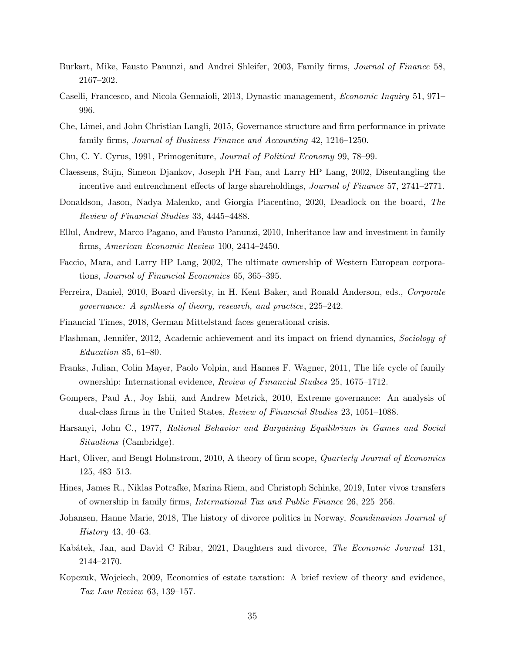- <span id="page-35-3"></span>Burkart, Mike, Fausto Panunzi, and Andrei Shleifer, 2003, Family firms, Journal of Finance 58, 2167–202.
- <span id="page-35-4"></span>Caselli, Francesco, and Nicola Gennaioli, 2013, Dynastic management, Economic Inquiry 51, 971– 996.
- <span id="page-35-11"></span>Che, Limei, and John Christian Langli, 2015, Governance structure and firm performance in private family firms, Journal of Business Finance and Accounting 42, 1216–1250.
- <span id="page-35-8"></span>Chu, C. Y. Cyrus, 1991, Primogeniture, Journal of Political Economy 99, 78–99.
- <span id="page-35-1"></span>Claessens, Stijn, Simeon Djankov, Joseph PH Fan, and Larry HP Lang, 2002, Disentangling the incentive and entrenchment effects of large shareholdings, *Journal of Finance* 57, 2741–2771.
- <span id="page-35-7"></span>Donaldson, Jason, Nadya Malenko, and Giorgia Piacentino, 2020, Deadlock on the board, The Review of Financial Studies 33, 4445–4488.
- <span id="page-35-5"></span>Ellul, Andrew, Marco Pagano, and Fausto Panunzi, 2010, Inheritance law and investment in family firms, American Economic Review 100, 2414–2450.
- <span id="page-35-0"></span>Faccio, Mara, and Larry HP Lang, 2002, The ultimate ownership of Western European corporations, Journal of Financial Economics 65, 365–395.
- <span id="page-35-6"></span>Ferreira, Daniel, 2010, Board diversity, in H. Kent Baker, and Ronald Anderson, eds., Corporate governance: A synthesis of theory, research, and practice, 225–242.
- <span id="page-35-18"></span><span id="page-35-14"></span>Financial Times, 2018, German Mittelstand faces generational crisis.
- Flashman, Jennifer, 2012, Academic achievement and its impact on friend dynamics, Sociology of Education 85, 61–80.
- <span id="page-35-2"></span>Franks, Julian, Colin Mayer, Paolo Volpin, and Hannes F. Wagner, 2011, The life cycle of family ownership: International evidence, Review of Financial Studies 25, 1675–1712.
- <span id="page-35-17"></span>Gompers, Paul A., Joy Ishii, and Andrew Metrick, 2010, Extreme governance: An analysis of dual-class firms in the United States, Review of Financial Studies 23, 1051–1088.
- <span id="page-35-12"></span>Harsanyi, John C., 1977, Rational Behavior and Bargaining Equilibrium in Games and Social Situations (Cambridge).
- <span id="page-35-10"></span>Hart, Oliver, and Bengt Holmstrom, 2010, A theory of firm scope, Quarterly Journal of Economics 125, 483–513.
- <span id="page-35-13"></span>Hines, James R., Niklas Potrafke, Marina Riem, and Christoph Schinke, 2019, Inter vivos transfers of ownership in family firms, International Tax and Public Finance 26, 225–256.
- <span id="page-35-15"></span>Johansen, Hanne Marie, 2018, The history of divorce politics in Norway, *Scandinavian Journal of* History 43, 40–63.
- <span id="page-35-16"></span>Kabátek, Jan, and David C Ribar, 2021, Daughters and divorce, *The Economic Journal* 131, 2144–2170.
- <span id="page-35-9"></span>Kopczuk, Wojciech, 2009, Economics of estate taxation: A brief review of theory and evidence, Tax Law Review 63, 139–157.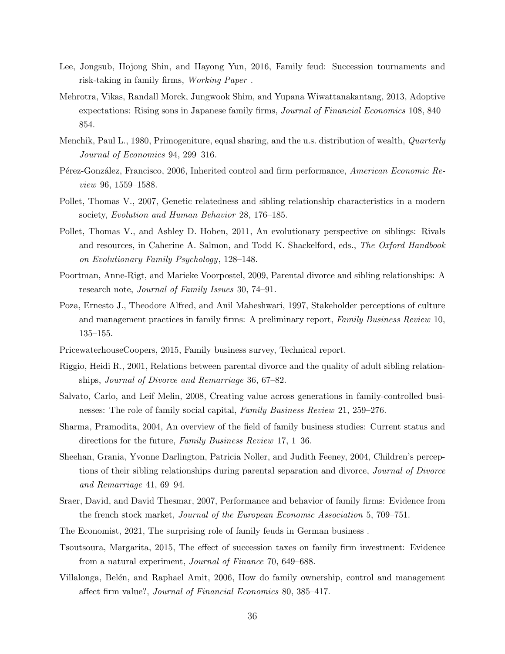- <span id="page-36-7"></span>Lee, Jongsub, Hojong Shin, and Hayong Yun, 2016, Family feud: Succession tournaments and risk-taking in family firms, Working Paper .
- <span id="page-36-5"></span>Mehrotra, Vikas, Randall Morck, Jungwook Shim, and Yupana Wiwattanakantang, 2013, Adoptive expectations: Rising sons in Japanese family firms, *Journal of Financial Economics* 108, 840– 854.
- <span id="page-36-8"></span>Menchik, Paul L., 1980, Primogeniture, equal sharing, and the u.s. distribution of wealth, *Quarterly* Journal of Economics 94, 299–316.
- <span id="page-36-2"></span>Pérez-González, Francisco, 2006, Inherited control and firm performance, American Economic Review 96, 1559–1588.
- <span id="page-36-12"></span>Pollet, Thomas V., 2007, Genetic relatedness and sibling relationship characteristics in a modern society, Evolution and Human Behavior 28, 176–185.
- <span id="page-36-13"></span>Pollet, Thomas V., and Ashley D. Hoben, 2011, An evolutionary perspective on siblings: Rivals and resources, in Caherine A. Salmon, and Todd K. Shackelford, eds., The Oxford Handbook on Evolutionary Family Psychology, 128–148.
- <span id="page-36-16"></span>Poortman, Anne-Rigt, and Marieke Voorpostel, 2009, Parental divorce and sibling relationships: A research note, *Journal of Family Issues* 30, 74–91.
- <span id="page-36-11"></span>Poza, Ernesto J., Theodore Alfred, and Anil Maheshwari, 1997, Stakeholder perceptions of culture and management practices in family firms: A preliminary report, Family Business Review 10, 135–155.
- <span id="page-36-14"></span><span id="page-36-1"></span>PricewaterhouseCoopers, 2015, Family business survey, Technical report.
- Riggio, Heidi R., 2001, Relations between parental divorce and the quality of adult sibling relationships, Journal of Divorce and Remarriage 36, 67–82.
- <span id="page-36-9"></span>Salvato, Carlo, and Leif Melin, 2008, Creating value across generations in family-controlled businesses: The role of family social capital, Family Business Review 21, 259–276.
- <span id="page-36-10"></span>Sharma, Pramodita, 2004, An overview of the field of family business studies: Current status and directions for the future, Family Business Review 17, 1–36.
- <span id="page-36-15"></span>Sheehan, Grania, Yvonne Darlington, Patricia Noller, and Judith Feeney, 2004, Children's perceptions of their sibling relationships during parental separation and divorce, *Journal of Divorce* and Remarriage 41, 69–94.
- <span id="page-36-4"></span>Sraer, David, and David Thesmar, 2007, Performance and behavior of family firms: Evidence from the french stock market, Journal of the European Economic Association 5, 709–751.
- <span id="page-36-0"></span>The Economist, 2021, The surprising role of family feuds in German business .
- <span id="page-36-6"></span>Tsoutsoura, Margarita, 2015, The effect of succession taxes on family firm investment: Evidence from a natural experiment, Journal of Finance 70, 649–688.
- <span id="page-36-3"></span>Villalonga, Belén, and Raphael Amit, 2006, How do family ownership, control and management affect firm value?, Journal of Financial Economics 80, 385–417.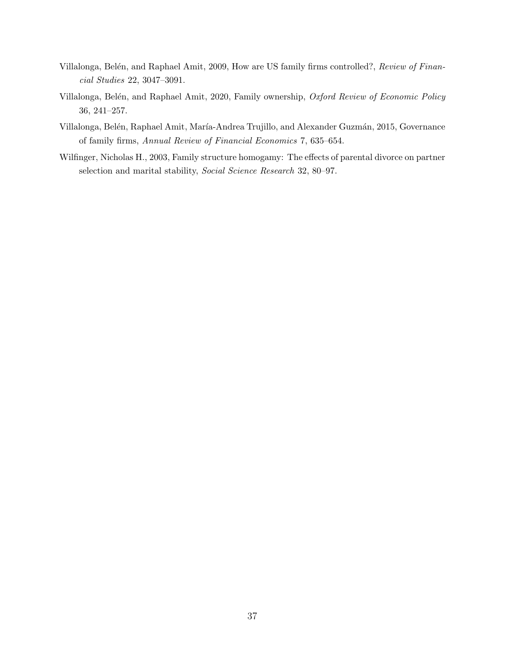- <span id="page-37-1"></span>Villalonga, Belén, and Raphael Amit, 2009, How are US family firms controlled?, Review of Financial Studies 22, 3047–3091.
- <span id="page-37-0"></span>Villalonga, Belén, and Raphael Amit, 2020, Family ownership, Oxford Review of Economic Policy 36, 241–257.
- <span id="page-37-2"></span>Villalonga, Belén, Raphael Amit, María-Andrea Trujillo, and Alexander Guzmán, 2015, Governance of family firms, Annual Review of Financial Economics 7, 635–654.
- <span id="page-37-3"></span>Wilfinger, Nicholas H., 2003, Family structure homogamy: The effects of parental divorce on partner selection and marital stability, Social Science Research 32, 80-97.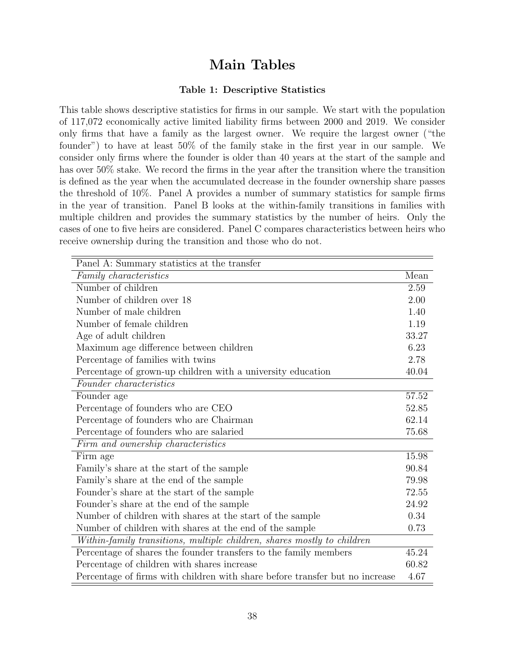## Main Tables

#### Table 1: Descriptive Statistics

<span id="page-38-0"></span>This table shows descriptive statistics for firms in our sample. We start with the population of 117,072 economically active limited liability firms between 2000 and 2019. We consider only firms that have a family as the largest owner. We require the largest owner ("the founder") to have at least 50% of the family stake in the first year in our sample. We consider only firms where the founder is older than 40 years at the start of the sample and has over 50% stake. We record the firms in the year after the transition where the transition is defined as the year when the accumulated decrease in the founder ownership share passes the threshold of 10%. Panel A provides a number of summary statistics for sample firms in the year of transition. Panel B looks at the within-family transitions in families with multiple children and provides the summary statistics by the number of heirs. Only the cases of one to five heirs are considered. Panel C compares characteristics between heirs who receive ownership during the transition and those who do not.

| Panel A: Summary statistics at the transfer                                  |       |
|------------------------------------------------------------------------------|-------|
| Family characteristics                                                       | Mean  |
| Number of children                                                           | 2.59  |
| Number of children over 18                                                   | 2.00  |
| Number of male children                                                      | 1.40  |
| Number of female children                                                    | 1.19  |
| Age of adult children                                                        | 33.27 |
| Maximum age difference between children                                      | 6.23  |
| Percentage of families with twins                                            | 2.78  |
| Percentage of grown-up children with a university education                  | 40.04 |
| Founder characteristics                                                      |       |
| Founder age                                                                  | 57.52 |
| Percentage of founders who are CEO                                           | 52.85 |
| Percentage of founders who are Chairman                                      | 62.14 |
| Percentage of founders who are salaried                                      | 75.68 |
| Firm and ownership characteristics                                           |       |
| Firm age                                                                     | 15.98 |
| Family's share at the start of the sample                                    | 90.84 |
| Family's share at the end of the sample                                      | 79.98 |
| Founder's share at the start of the sample                                   | 72.55 |
| Founder's share at the end of the sample                                     | 24.92 |
| Number of children with shares at the start of the sample                    | 0.34  |
| Number of children with shares at the end of the sample                      | 0.73  |
| Within-family transitions, multiple children, shares mostly to children      |       |
| Percentage of shares the founder transfers to the family members             | 45.24 |
| Percentage of children with shares increase                                  | 60.82 |
| Percentage of firms with children with share before transfer but no increase | 4.67  |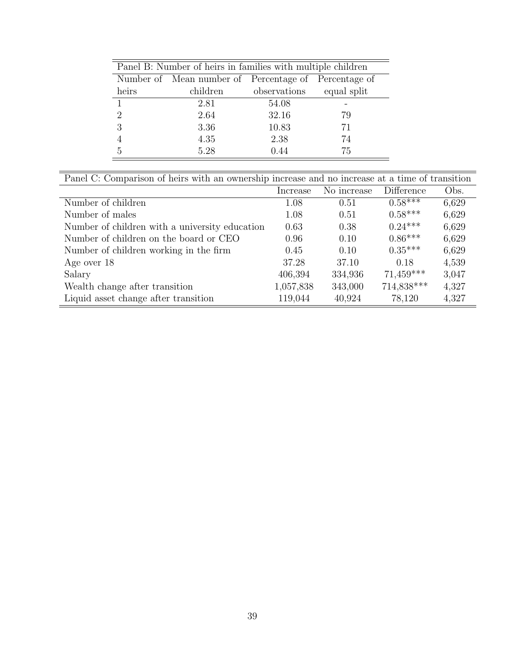|                             | Panel B: Number of heirs in families with multiple children |              |             |
|-----------------------------|-------------------------------------------------------------|--------------|-------------|
|                             | Number of Mean number of Percentage of Percentage of        |              |             |
| heirs                       | children                                                    | observations | equal split |
| $\mathbf{1}$                | 2.81                                                        | 54.08        |             |
| $\mathcal{D}_{\mathcal{A}}$ | 2.64                                                        | 32.16        | 79          |
| 3                           | 3.36                                                        | 10.83        | 71          |
|                             | 4.35                                                        | 2.38         | 74          |
| 5                           | 5.28                                                        | 0.44         | 75          |
|                             |                                                             |              |             |

| Panel C: Comparison of heirs with an ownership increase and no increase at a time of transition |           |             |             |       |  |  |  |
|-------------------------------------------------------------------------------------------------|-----------|-------------|-------------|-------|--|--|--|
|                                                                                                 | Increase  | No increase | Difference  | Obs.  |  |  |  |
| Number of children                                                                              | 1.08      | 0.51        | $0.58***$   | 6,629 |  |  |  |
| Number of males                                                                                 | 1.08      | 0.51        | $0.58***$   | 6,629 |  |  |  |
| Number of children with a university education                                                  | 0.63      | 0.38        | $0.24***$   | 6,629 |  |  |  |
| Number of children on the board or CEO                                                          | 0.96      | 0.10        | $0.86***$   | 6,629 |  |  |  |
| Number of children working in the firm                                                          | 0.45      | 0.10        | $0.35***$   | 6,629 |  |  |  |
| Age over 18                                                                                     | 37.28     | 37.10       | 0.18        | 4,539 |  |  |  |
| Salary                                                                                          | 406,394   | 334,936     | $71,459***$ | 3,047 |  |  |  |
| Wealth change after transition                                                                  | 1,057,838 | 343,000     | 714,838***  | 4,327 |  |  |  |
| Liquid asset change after transition                                                            | 119,044   | 40,924      | 78.120      | 4,327 |  |  |  |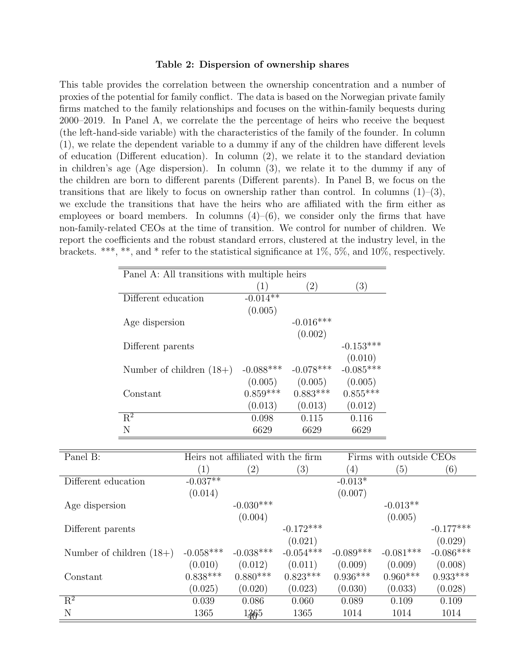#### Table 2: Dispersion of ownership shares

<span id="page-40-0"></span>This table provides the correlation between the ownership concentration and a number of proxies of the potential for family conflict. The data is based on the Norwegian private family firms matched to the family relationships and focuses on the within-family bequests during 2000–2019. In Panel A, we correlate the the percentage of heirs who receive the bequest (the left-hand-side variable) with the characteristics of the family of the founder. In column (1), we relate the dependent variable to a dummy if any of the children have different levels of education (Different education). In column (2), we relate it to the standard deviation in children's age (Age dispersion). In column (3), we relate it to the dummy if any of the children are born to different parents (Different parents). In Panel B, we focus on the transitions that are likely to focus on ownership rather than control. In columns  $(1)-(3)$ , we exclude the transitions that have the heirs who are affiliated with the firm either as employees or board members. In columns  $(4)$ – $(6)$ , we consider only the firms that have non-family-related CEOs at the time of transition. We control for number of children. We report the coefficients and the robust standard errors, clustered at the industry level, in the brackets. \*\*\*, \*\*, and \* refer to the statistical significance at 1%, 5%, and 10%, respectively.

| Panel A: All transitions with multiple heirs |              |             |             |  |  |
|----------------------------------------------|--------------|-------------|-------------|--|--|
|                                              | $ 1\rangle$  | (2)         | (3)         |  |  |
| Different education                          | $-0.014**$   |             |             |  |  |
|                                              | (0.005)      |             |             |  |  |
| Age dispersion                               |              | $-0.016***$ |             |  |  |
|                                              |              | (0.002)     |             |  |  |
| Different parents                            |              |             | $-0.153***$ |  |  |
|                                              |              |             | (0.010)     |  |  |
| Number of children $(18+)$                   | $-0.088$ *** | $-0.078***$ | $-0.085***$ |  |  |
|                                              | (0.005)      | (0.005)     | (0.005)     |  |  |
| Constant                                     | $0.859***$   | $0.883***$  | $0.855***$  |  |  |
|                                              | (0.013)      | (0.013)     | (0.012)     |  |  |
| $R^2$                                        | 0.098        | 0.115       | 0.116       |  |  |
| N                                            | 6629         | 6629        | 6629        |  |  |

| Panel B:                   |             | Heirs not affiliated with the firm |             |             | Firms with outside CEOs |             |
|----------------------------|-------------|------------------------------------|-------------|-------------|-------------------------|-------------|
|                            | (1)         | $\left( 2\right)$                  | (3)         | (4)         | (5)                     | (6)         |
| Different education        | $-0.037**$  |                                    |             | $-0.013*$   |                         |             |
|                            | (0.014)     |                                    |             | (0.007)     |                         |             |
| Age dispersion             |             | $-0.030***$                        |             |             | $-0.013**$              |             |
|                            |             | (0.004)                            |             |             | (0.005)                 |             |
| Different parents          |             |                                    | $-0.172***$ |             |                         | $-0.177***$ |
|                            |             |                                    | (0.021)     |             |                         | (0.029)     |
| Number of children $(18+)$ | $-0.058***$ | $-0.038***$                        | $-0.054***$ | $-0.089***$ | $-0.081***$             | $-0.086***$ |
|                            | (0.010)     | (0.012)                            | (0.011)     | (0.009)     | (0.009)                 | (0.008)     |
| Constant                   | $0.838***$  | $0.880***$                         | $0.823***$  | $0.936***$  | $0.960***$              | $0.933***$  |
|                            | (0.025)     | (0.020)                            | (0.023)     | (0.030)     | (0.033)                 | (0.028)     |
| $R^2$                      | 0.039       | 0.086                              | 0.060       | 0.089       | 0.109                   | 0.109       |
| N                          | 1365        | 1365                               | 1365        | 1014        | 1014                    | 1014        |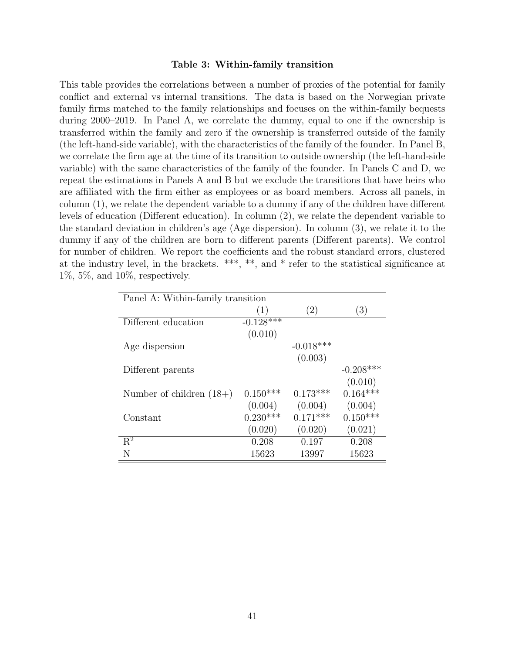#### Table 3: Within-family transition

<span id="page-41-0"></span>This table provides the correlations between a number of proxies of the potential for family conflict and external vs internal transitions. The data is based on the Norwegian private family firms matched to the family relationships and focuses on the within-family bequests during 2000–2019. In Panel A, we correlate the dummy, equal to one if the ownership is transferred within the family and zero if the ownership is transferred outside of the family (the left-hand-side variable), with the characteristics of the family of the founder. In Panel B, we correlate the firm age at the time of its transition to outside ownership (the left-hand-side variable) with the same characteristics of the family of the founder. In Panels C and D, we repeat the estimations in Panels A and B but we exclude the transitions that have heirs who are affiliated with the firm either as employees or as board members. Across all panels, in column (1), we relate the dependent variable to a dummy if any of the children have different levels of education (Different education). In column (2), we relate the dependent variable to the standard deviation in children's age (Age dispersion). In column (3), we relate it to the dummy if any of the children are born to different parents (Different parents). We control for number of children. We report the coefficients and the robust standard errors, clustered at the industry level, in the brackets. \*\*\*, \*\*, and \* refer to the statistical significance at  $1\%, 5\%, \text{ and } 10\%, \text{ respectively.}$ 

| Panel A: Within-family transition |             |             |             |  |  |  |  |
|-----------------------------------|-------------|-------------|-------------|--|--|--|--|
|                                   | (1)         | (2)         | (3)         |  |  |  |  |
| Different education               | $-0.128***$ |             |             |  |  |  |  |
|                                   | (0.010)     |             |             |  |  |  |  |
| Age dispersion                    |             | $-0.018***$ |             |  |  |  |  |
|                                   |             | (0.003)     |             |  |  |  |  |
| Different parents                 |             |             | $-0.208***$ |  |  |  |  |
|                                   |             |             | (0.010)     |  |  |  |  |
| Number of children $(18+)$        | $0.150***$  | $0.173***$  | $0.164***$  |  |  |  |  |
|                                   | (0.004)     | (0.004)     | (0.004)     |  |  |  |  |
| Constant                          | $0.230***$  | $0.171***$  | $0.150***$  |  |  |  |  |
|                                   | (0.020)     | (0.020)     | (0.021)     |  |  |  |  |
| $R^2$                             | 0.208       | 0.197       | 0.208       |  |  |  |  |
| N                                 | 15623       | 13997       | 15623       |  |  |  |  |
|                                   |             |             |             |  |  |  |  |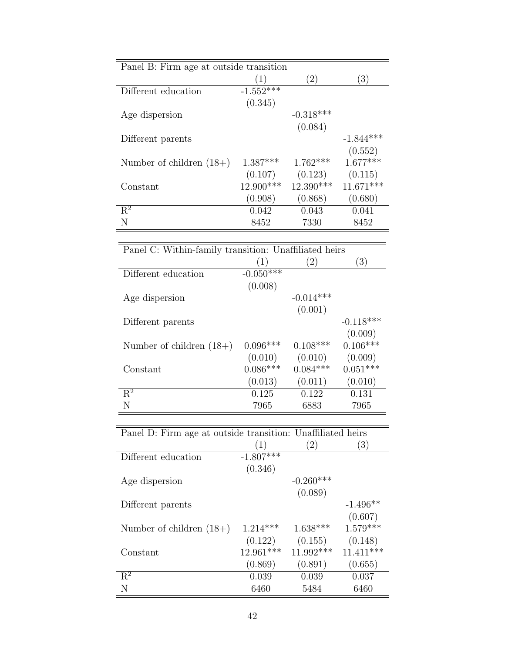| Panel B: Firm age at outside transition |             |             |             |  |  |  |
|-----------------------------------------|-------------|-------------|-------------|--|--|--|
|                                         | (1)         | (2)         | (3)         |  |  |  |
| Different education                     | $-1.552***$ |             |             |  |  |  |
|                                         | (0.345)     |             |             |  |  |  |
| Age dispersion                          |             | $-0.318***$ |             |  |  |  |
|                                         |             | (0.084)     |             |  |  |  |
| Different parents                       |             |             | $-1.844***$ |  |  |  |
|                                         |             |             | (0.552)     |  |  |  |
| Number of children $(18+)$              | $1.387***$  | $1.762***$  | $1.677***$  |  |  |  |
|                                         | (0.107)     | (0.123)     | (0.115)     |  |  |  |
| Constant                                | 12.900***   | $12.390***$ | $11.671***$ |  |  |  |
|                                         | (0.908)     | (0.868)     | (0.680)     |  |  |  |
| $R^2$                                   | 0.042       | 0.043       | 0.041       |  |  |  |
| N                                       | 8452        | 7330        | 8452        |  |  |  |

| Panel C: Within-family transition: Unaffiliated heirs |             |             |             |  |  |  |
|-------------------------------------------------------|-------------|-------------|-------------|--|--|--|
|                                                       | (1)         | (2)         | (3)         |  |  |  |
| Different education                                   | $-0.050***$ |             |             |  |  |  |
|                                                       | (0.008)     |             |             |  |  |  |
| Age dispersion                                        |             | $-0.014***$ |             |  |  |  |
|                                                       |             | (0.001)     |             |  |  |  |
| Different parents                                     |             |             | $-0.118***$ |  |  |  |
|                                                       |             |             | (0.009)     |  |  |  |
| Number of children $(18+)$                            | $0.096***$  | $0.108***$  | $0.106***$  |  |  |  |
|                                                       | (0.010)     | (0.010)     | (0.009)     |  |  |  |
| Constant                                              | $0.086***$  | $0.084***$  | $0.051***$  |  |  |  |
|                                                       | (0.013)     | (0.011)     | (0.010)     |  |  |  |
| $R^2$                                                 | 0.125       | 0.122       | 0.131       |  |  |  |
| N                                                     | 7965        | 6883        | 7965        |  |  |  |
|                                                       |             |             |             |  |  |  |

| Panel D: Firm age at outside transition: Unaffiliated heirs |             |                   |             |
|-------------------------------------------------------------|-------------|-------------------|-------------|
|                                                             | (1)         | $\left( 2\right)$ | (3)         |
| Different education                                         | $-1.807***$ |                   |             |
|                                                             | (0.346)     |                   |             |
| Age dispersion                                              |             | $-0.260***$       |             |
|                                                             |             | (0.089)           |             |
| Different parents                                           |             |                   | $-1.496**$  |
|                                                             |             |                   | (0.607)     |
| Number of children $(18+)$                                  | $1.214***$  | $1.638***$        | $1.579***$  |
|                                                             | (0.122)     | (0.155)           | (0.148)     |
| Constant                                                    | 12.961***   | $11.992***$       | $11.411***$ |
|                                                             | (0.869)     | (0.891)           | (0.655)     |
| $R^2$                                                       | 0.039       | 0.039             | 0.037       |
| N                                                           | 6460        | 5484              | 6460        |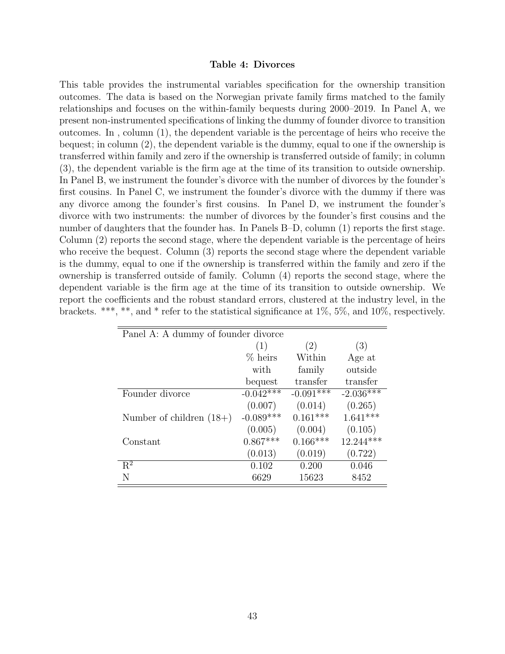#### Table 4: Divorces

<span id="page-43-0"></span>This table provides the instrumental variables specification for the ownership transition outcomes. The data is based on the Norwegian private family firms matched to the family relationships and focuses on the within-family bequests during 2000–2019. In Panel A, we present non-instrumented specifications of linking the dummy of founder divorce to transition outcomes. In , column (1), the dependent variable is the percentage of heirs who receive the bequest; in column (2), the dependent variable is the dummy, equal to one if the ownership is transferred within family and zero if the ownership is transferred outside of family; in column (3), the dependent variable is the firm age at the time of its transition to outside ownership. In Panel B, we instrument the founder's divorce with the number of divorces by the founder's first cousins. In Panel C, we instrument the founder's divorce with the dummy if there was any divorce among the founder's first cousins. In Panel D, we instrument the founder's divorce with two instruments: the number of divorces by the founder's first cousins and the number of daughters that the founder has. In Panels B–D, column (1) reports the first stage. Column (2) reports the second stage, where the dependent variable is the percentage of heirs who receive the bequest. Column (3) reports the second stage where the dependent variable is the dummy, equal to one if the ownership is transferred within the family and zero if the ownership is transferred outside of family. Column (4) reports the second stage, where the dependent variable is the firm age at the time of its transition to outside ownership. We report the coefficients and the robust standard errors, clustered at the industry level, in the brackets. \*\*\*, \*\*, and \* refer to the statistical significance at  $1\%$ ,  $5\%$ , and  $10\%$ , respectively.

| Panel A: A dummy of founder divorce |             |             |             |  |  |  |
|-------------------------------------|-------------|-------------|-------------|--|--|--|
|                                     | (1)         | (2)         | (3)         |  |  |  |
|                                     | $%$ heirs   | Within      | Age at      |  |  |  |
|                                     | with        | family      | outside     |  |  |  |
|                                     | bequest     | transfer    | transfer    |  |  |  |
| Founder divorce                     | $-0.042***$ | $-0.091***$ | $-2.036***$ |  |  |  |
|                                     | (0.007)     | (0.014)     | (0.265)     |  |  |  |
| Number of children $(18+)$          | $-0.089***$ | $0.161***$  | $1.641***$  |  |  |  |
|                                     | (0.005)     | (0.004)     | (0.105)     |  |  |  |
| Constant                            | $0.867***$  | $0.166***$  | 12.244***   |  |  |  |
|                                     | (0.013)     | (0.019)     | (0.722)     |  |  |  |
| $\mathbf{R}^2$                      | 0.102       | 0.200       | 0.046       |  |  |  |
| N                                   | 6629        | 15623       | 8452        |  |  |  |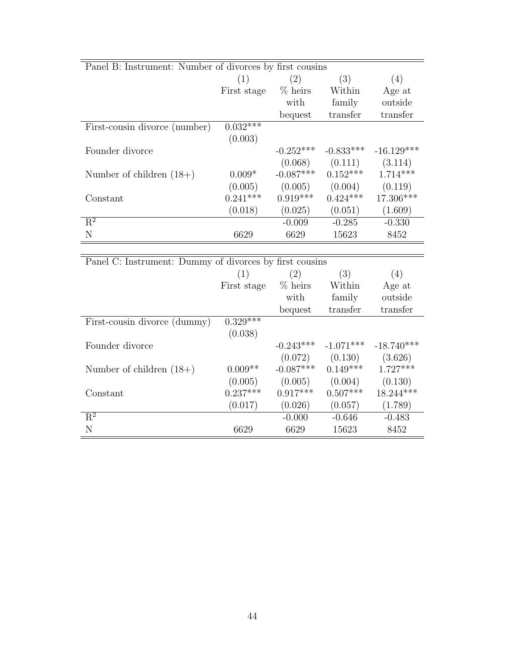| Panel B: Instrument: Number of divorces by first cousins |             |                  |             |              |
|----------------------------------------------------------|-------------|------------------|-------------|--------------|
|                                                          | (1)         | (2)              | (3)         | (4)          |
|                                                          | First stage | $% \text{heirs}$ | Within      | Age at       |
|                                                          |             | with             | family      | outside      |
|                                                          |             | bequest          | transfer    | transfer     |
| First-cousin divorce (number)                            | $0.032***$  |                  |             |              |
|                                                          | (0.003)     |                  |             |              |
| Founder divorce                                          |             | $-0.252***$      | $-0.833***$ | $-16.129***$ |
|                                                          |             | (0.068)          | (0.111)     | (3.114)      |
| Number of children $(18+)$                               | $0.009*$    | $-0.087***$      | $0.152***$  | $1.714***$   |
|                                                          | (0.005)     | (0.005)          | (0.004)     | (0.119)      |
| Constant                                                 | $0.241***$  | $0.919***$       | $0.424***$  | 17.306***    |
|                                                          | (0.018)     | (0.025)          | (0.051)     | (1.609)      |
| $\overline{\mathrm{R}^2}$                                |             | $-0.009$         | $-0.285$    | $-0.330$     |
| N                                                        | 6629        | 6629             | 15623       | 8452         |
|                                                          |             |                  |             |              |
| Panel C: Instrument: Dummy of divorces by first cousins  |             |                  |             |              |
|                                                          | (1)         | (2)              | (3)         | (4)          |
|                                                          | First stage | $%$ heirs        | Within      | Age at       |
|                                                          |             | with             | family      | outside      |
|                                                          |             | bequest          | transfer    | transfer     |
| First-cousin divorce (dummy)                             | $0.329***$  |                  |             |              |
|                                                          | (0.038)     |                  |             |              |
| Founder divorce                                          |             | $-0.243***$      | $-1.071***$ | $-18.740***$ |
|                                                          |             | (0.072)          | (0.130)     | (3.626)      |
| Number of children $(18+)$                               | $0.009**$   | $-0.087***$      | $0.149***$  | $1.727***$   |
|                                                          | (0.005)     | (0.005)          | (0.004)     | (0.130)      |
| Constant                                                 | $0.237***$  | $0.917***$       | $0.507***$  | $18.244***$  |
|                                                          | (0.017)     | (0.026)          | (0.057)     | (1.789)      |
|                                                          |             |                  |             |              |
| $\overline{\mathrm{R}^2}$<br>$\mathbf N$                 |             | $-0.000$         | $-0.646$    | $-0.483$     |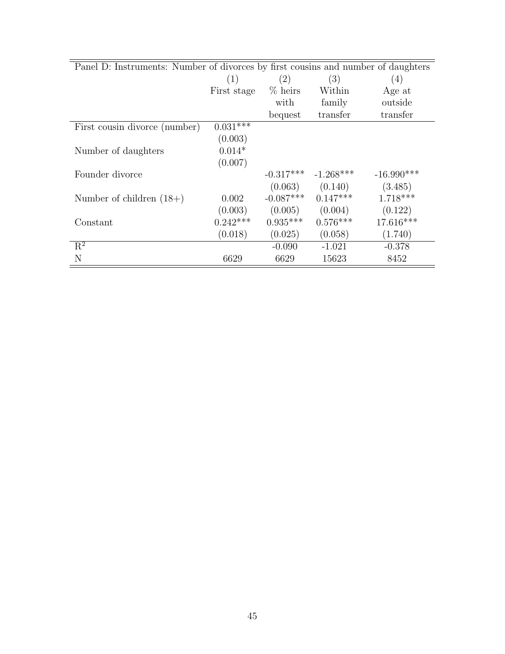| Panel D: Instruments: Number of divorces by first cousins and number of daughters |             |             |                     |              |  |
|-----------------------------------------------------------------------------------|-------------|-------------|---------------------|--------------|--|
|                                                                                   | (1)         | (2)         | (3)                 | (4)          |  |
|                                                                                   | First stage | $%$ heirs   | Within              | Age at       |  |
|                                                                                   |             | with        | family              | outside      |  |
|                                                                                   |             | bequest     | transfer            | transfer     |  |
| First cousin divorce (number)                                                     | $0.031***$  |             |                     |              |  |
|                                                                                   | (0.003)     |             |                     |              |  |
| Number of daughters                                                               | $0.014*$    |             |                     |              |  |
|                                                                                   | (0.007)     |             |                     |              |  |
| Founder divorce                                                                   |             | $-0.317***$ | $-1.268***$         | $-16.990***$ |  |
|                                                                                   |             |             | $(0.063)$ $(0.140)$ | (3.485)      |  |
| Number of children $(18+)$                                                        | 0.002       | $-0.087***$ | $0.147***$          | $1.718***$   |  |
|                                                                                   | (0.003)     | (0.005)     | (0.004)             | (0.122)      |  |
| Constant                                                                          | $0.242***$  | $0.935***$  | $0.576***$          | 17.616***    |  |
|                                                                                   | (0.018)     | (0.025)     | (0.058)             | (1.740)      |  |
| $R^2$                                                                             |             | $-0.090$    | $-1.021$            | $-0.378$     |  |
| N                                                                                 | 6629        | 6629        | 15623               | 8452         |  |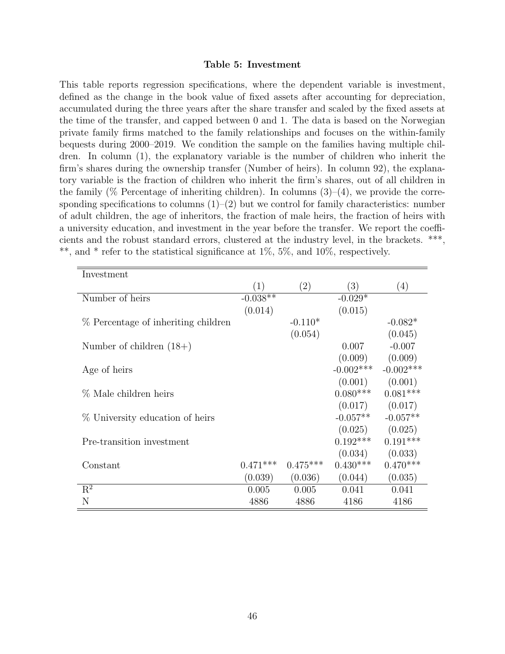#### Table 5: Investment

<span id="page-46-0"></span>This table reports regression specifications, where the dependent variable is investment, defined as the change in the book value of fixed assets after accounting for depreciation, accumulated during the three years after the share transfer and scaled by the fixed assets at the time of the transfer, and capped between 0 and 1. The data is based on the Norwegian private family firms matched to the family relationships and focuses on the within-family bequests during 2000–2019. We condition the sample on the families having multiple children. In column (1), the explanatory variable is the number of children who inherit the firm's shares during the ownership transfer (Number of heirs). In column 92), the explanatory variable is the fraction of children who inherit the firm's shares, out of all children in the family ( $\%$  Percentage of inheriting children). In columns (3)–(4), we provide the corresponding specifications to columns  $(1)$ – $(2)$  but we control for family characteristics: number of adult children, the age of inheritors, the fraction of male heirs, the fraction of heirs with a university education, and investment in the year before the transfer. We report the coefficients and the robust standard errors, clustered at the industry level, in the brackets. \*\*\*, \*\*, and \* refer to the statistical significance at 1%, 5%, and 10%, respectively.

| Investment                          |            |            |             |                  |
|-------------------------------------|------------|------------|-------------|------------------|
|                                     |            | (2)        | (3)         | $\left(4\right)$ |
| Number of heirs                     | $-0.038**$ |            | $-0.029*$   |                  |
|                                     | (0.014)    |            | (0.015)     |                  |
| % Percentage of inheriting children |            | $-0.110*$  |             | $-0.082*$        |
|                                     |            | (0.054)    |             | (0.045)          |
| Number of children $(18+)$          |            |            | 0.007       | $-0.007$         |
|                                     |            |            | (0.009)     | (0.009)          |
| Age of heirs                        |            |            | $-0.002***$ | $-0.002$ ***     |
|                                     |            |            | (0.001)     | (0.001)          |
| % Male children heirs               |            |            | $0.080***$  | $0.081***$       |
|                                     |            |            | (0.017)     | (0.017)          |
| % University education of heirs     |            |            | $-0.057**$  | $-0.057**$       |
|                                     |            |            | (0.025)     | (0.025)          |
| Pre-transition investment           |            |            | $0.192***$  | $0.191***$       |
|                                     |            |            | (0.034)     | (0.033)          |
| Constant                            | $0.471***$ | $0.475***$ | $0.430***$  | $0.470***$       |
|                                     | (0.039)    | (0.036)    | (0.044)     | (0.035)          |
| $R^2$                               | 0.005      | 0.005      | 0.041       | 0.041            |
| N                                   | 4886       | 4886       | 4186        | 4186             |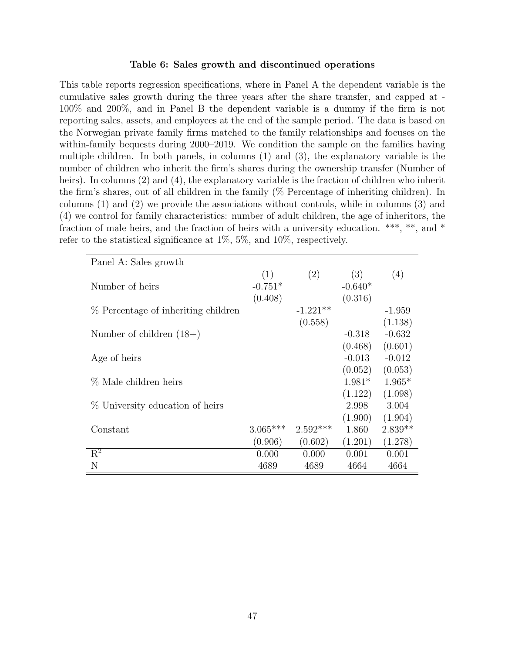#### Table 6: Sales growth and discontinued operations

<span id="page-47-0"></span>This table reports regression specifications, where in Panel A the dependent variable is the cumulative sales growth during the three years after the share transfer, and capped at - 100% and 200%, and in Panel B the dependent variable is a dummy if the firm is not reporting sales, assets, and employees at the end of the sample period. The data is based on the Norwegian private family firms matched to the family relationships and focuses on the within-family bequests during 2000–2019. We condition the sample on the families having multiple children. In both panels, in columns (1) and (3), the explanatory variable is the number of children who inherit the firm's shares during the ownership transfer (Number of heirs). In columns (2) and (4), the explanatory variable is the fraction of children who inherit the firm's shares, out of all children in the family (% Percentage of inheriting children). In columns (1) and (2) we provide the associations without controls, while in columns (3) and (4) we control for family characteristics: number of adult children, the age of inheritors, the fraction of male heirs, and the fraction of heirs with a university education. \*\*\*, \*\*, and \* refer to the statistical significance at 1%, 5%, and 10%, respectively.

| Panel A: Sales growth               |            |            |           |           |
|-------------------------------------|------------|------------|-----------|-----------|
|                                     | (1)        | (2)        | (3)       | (4)       |
| Number of heirs                     | $-0.751*$  |            | $-0.640*$ |           |
|                                     | (0.408)    |            | (0.316)   |           |
| % Percentage of inheriting children |            | $-1.221**$ |           | $-1.959$  |
|                                     |            | (0.558)    |           | (1.138)   |
| Number of children $(18+)$          |            |            | $-0.318$  | $-0.632$  |
|                                     |            |            | (0.468)   | (0.601)   |
| Age of heirs                        |            |            | $-0.013$  | $-0.012$  |
|                                     |            |            | (0.052)   | (0.053)   |
| % Male children heirs               |            |            | $1.981*$  | $1.965*$  |
|                                     |            |            | (1.122)   | (1.098)   |
| % University education of heirs     |            |            | 2.998     | 3.004     |
|                                     |            |            | (1.900)   | (1.904)   |
| Constant                            | $3.065***$ | $2.592***$ | 1.860     | $2.839**$ |
|                                     | (0.906)    | (0.602)    | (1.201)   | (1.278)   |
| $R^2$                               | 0.000      | 0.000      | 0.001     | 0.001     |
| N                                   | 4689       | 4689       | 4664      | 4664      |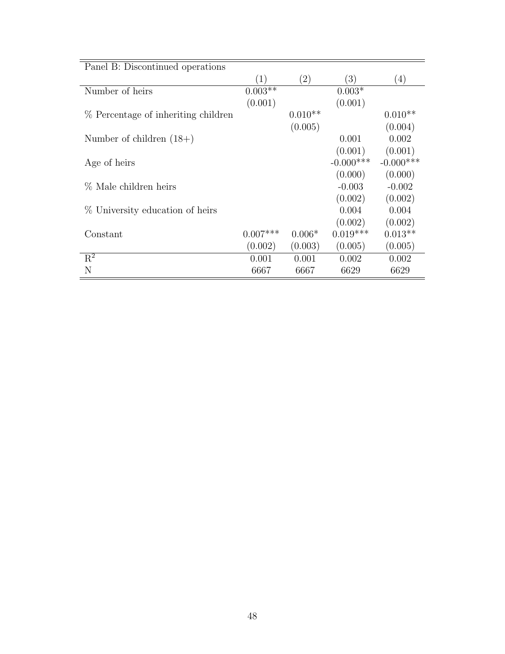| Panel B: Discontinued operations    |            |           |              |                  |
|-------------------------------------|------------|-----------|--------------|------------------|
|                                     | (1)        | (2)       | (3)          | $\left(4\right)$ |
| Number of heirs                     | $0.003**$  |           | $0.003*$     |                  |
|                                     | (0.001)    |           | (0.001)      |                  |
| % Percentage of inheriting children |            | $0.010**$ |              | $0.010**$        |
|                                     |            | (0.005)   |              | (0.004)          |
| Number of children $(18+)$          |            |           | 0.001        | 0.002            |
|                                     |            |           | (0.001)      | (0.001)          |
| Age of heirs                        |            |           | $-0.000$ *** | $-0.000$ ***     |
|                                     |            |           | (0.000)      | (0.000)          |
| % Male children heirs               |            |           | $-0.003$     | $-0.002$         |
|                                     |            |           | (0.002)      | (0.002)          |
| % University education of heirs     |            |           | 0.004        | 0.004            |
|                                     |            |           | (0.002)      | (0.002)          |
| Constant                            | $0.007***$ | $0.006*$  | $0.019***$   | $0.013**$        |
|                                     | (0.002)    | (0.003)   | (0.005)      | (0.005)          |
| $\mathbf{R}^2$                      | 0.001      | 0.001     | 0.002        | 0.002            |
| N                                   | 6667       | 6667      | 6629         | 6629             |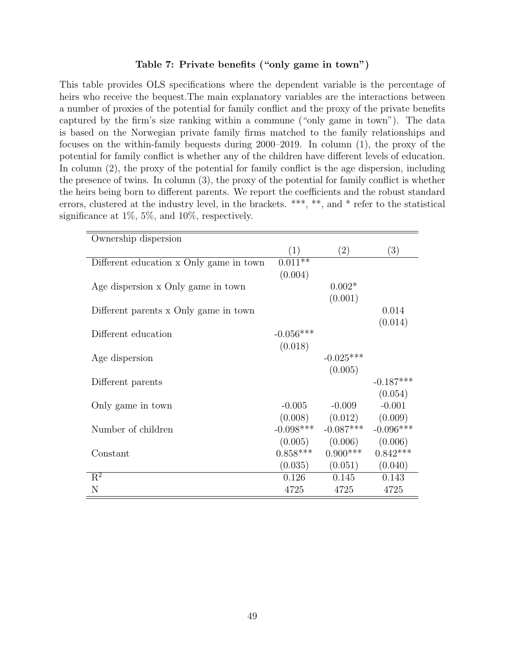#### Table 7: Private benefits ("only game in town")

<span id="page-49-0"></span>This table provides OLS specifications where the dependent variable is the percentage of heirs who receive the bequest.The main explanatory variables are the interactions between a number of proxies of the potential for family conflict and the proxy of the private benefits captured by the firm's size ranking within a commune ("only game in town"). The data is based on the Norwegian private family firms matched to the family relationships and focuses on the within-family bequests during 2000–2019. In column (1), the proxy of the potential for family conflict is whether any of the children have different levels of education. In column (2), the proxy of the potential for family conflict is the age dispersion, including the presence of twins. In column (3), the proxy of the potential for family conflict is whether the heirs being born to different parents. We report the coefficients and the robust standard errors, clustered at the industry level, in the brackets. \*\*\*, \*\*, and \* refer to the statistical significance at 1%, 5%, and 10%, respectively.

| Ownership dispersion                    |             |                     |                   |
|-----------------------------------------|-------------|---------------------|-------------------|
|                                         | (1)         | (2)                 | $\left( 3\right)$ |
| Different education x Only game in town | $0.011**$   |                     |                   |
|                                         | (0.004)     |                     |                   |
| Age dispersion x Only game in town      |             | $0.002*$            |                   |
|                                         |             | (0.001)             |                   |
| Different parents x Only game in town   |             |                     | 0.014             |
|                                         |             |                     | (0.014)           |
| Different education                     | $-0.056***$ |                     |                   |
|                                         | (0.018)     |                     |                   |
| Age dispersion                          |             | $-0.025***$         |                   |
|                                         |             | (0.005)             |                   |
| Different parents                       |             |                     | $-0.187***$       |
|                                         |             |                     | (0.054)           |
| Only game in town                       | $-0.005$    | $-0.009$            | $-0.001$          |
|                                         |             | $(0.008)$ $(0.012)$ | (0.009)           |
| Number of children                      | $-0.098***$ | $-0.087***$         | $-0.096***$       |
|                                         |             | $(0.005)$ $(0.006)$ | (0.006)           |
| Constant                                | $0.858***$  | $0.900***$          | $0.842***$        |
|                                         | (0.035)     | (0.051)             | (0.040)           |
| $R^2$                                   | 0.126       | 0.145               | 0.143             |
| N                                       | 4725        | 4725                | 4725              |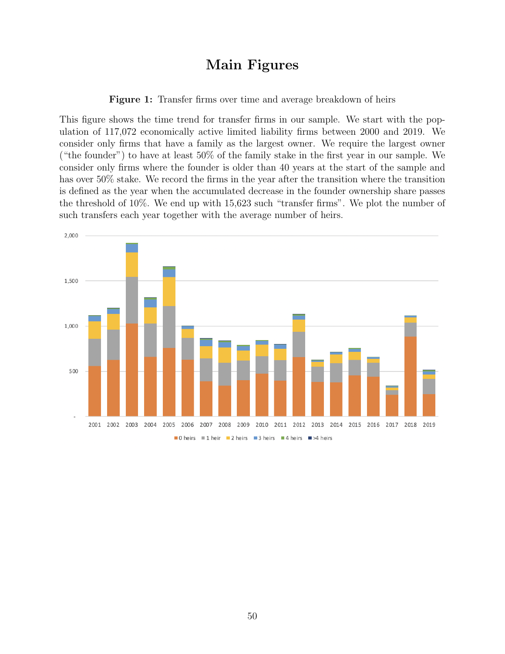## Main Figures

Figure 1: Transfer firms over time and average breakdown of heirs

<span id="page-50-0"></span>This figure shows the time trend for transfer firms in our sample. We start with the population of 117,072 economically active limited liability firms between 2000 and 2019. We consider only firms that have a family as the largest owner. We require the largest owner ("the founder") to have at least 50% of the family stake in the first year in our sample. We consider only firms where the founder is older than 40 years at the start of the sample and has over 50% stake. We record the firms in the year after the transition where the transition is defined as the year when the accumulated decrease in the founder ownership share passes the threshold of 10%. We end up with 15,623 such "transfer firms". We plot the number of such transfers each year together with the average number of heirs.

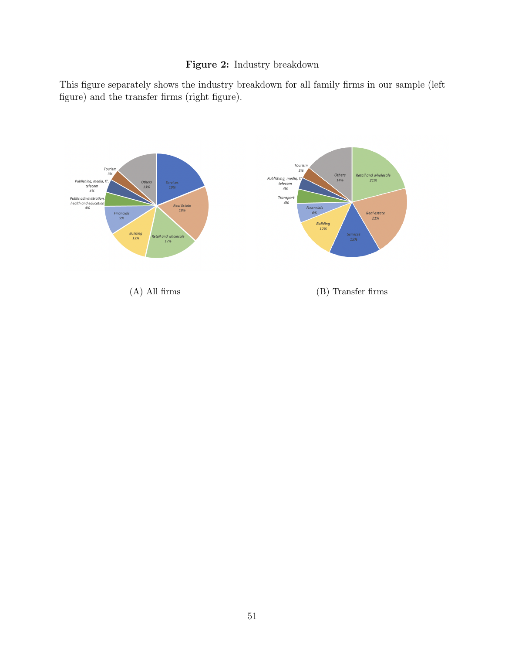### Figure 2: Industry breakdown

<span id="page-51-0"></span>This figure separately shows the industry breakdown for all family firms in our sample (left figure) and the transfer firms (right figure).

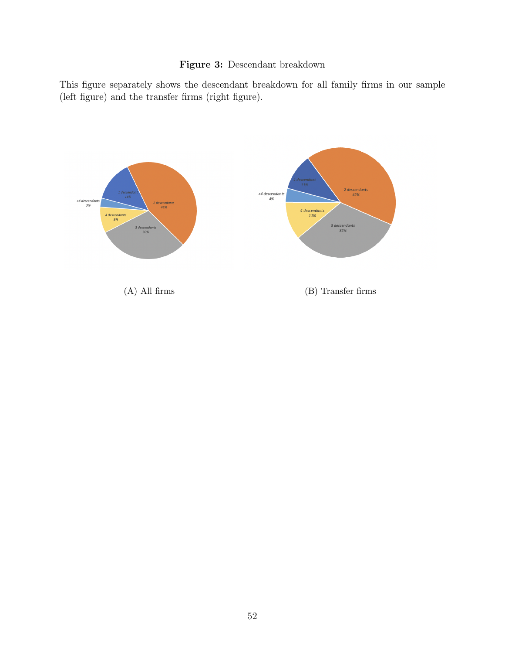### Figure 3: Descendant breakdown

<span id="page-52-0"></span>This figure separately shows the descendant breakdown for all family firms in our sample (left figure) and the transfer firms (right figure).

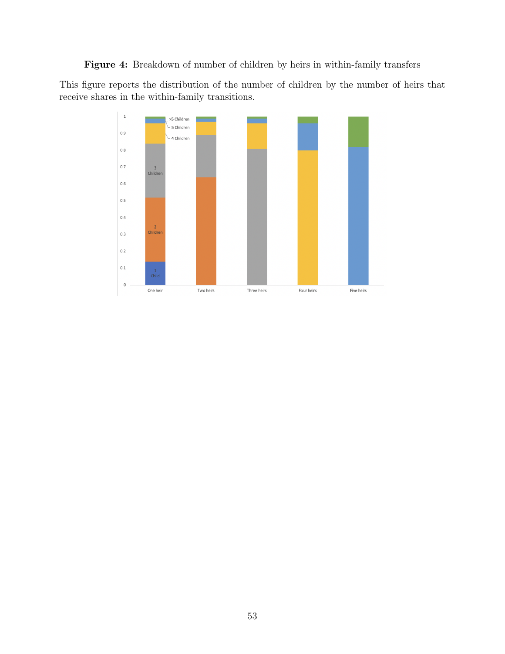<span id="page-53-0"></span>Figure 4: Breakdown of number of children by heirs in within-family transfers

This figure reports the distribution of the number of children by the number of heirs that receive shares in the within-family transitions.

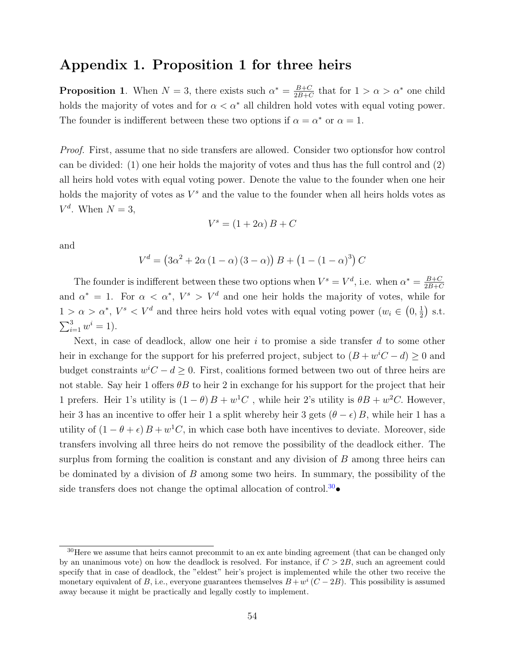## Appendix 1. Proposition 1 for three heirs

**Proposition 1.** When  $N = 3$ , there exists such  $\alpha^* = \frac{B+C}{2B+C}$  $\frac{B+C}{2B+C}$  that for  $1 > \alpha > \alpha^*$  one child holds the majority of votes and for  $\alpha < \alpha^*$  all children hold votes with equal voting power. The founder is indifferent between these two options if  $\alpha = \alpha^*$  or  $\alpha = 1$ .

Proof. First, assume that no side transfers are allowed. Consider two optionsfor how control can be divided: (1) one heir holds the majority of votes and thus has the full control and (2) all heirs hold votes with equal voting power. Denote the value to the founder when one heir holds the majority of votes as  $V^s$  and the value to the founder when all heirs holds votes as  $V^d$ . When  $N=3$ ,

$$
V^s = (1 + 2\alpha) B + C
$$

and

 $V^d = (3\alpha^2 + 2\alpha (1 - \alpha) (3 - \alpha)) B + (1 - (1 - \alpha)^3) C$ 

The founder is indifferent between these two options when  $V^s = V^d$ , i.e. when  $\alpha^* = \frac{B+C}{2B+C}$ 2B+C and  $\alpha^* = 1$ . For  $\alpha < \alpha^*$ ,  $V^s > V^d$  and one heir holds the majority of votes, while for  $1 > \alpha > \alpha^*$ ,  $V^s < V^d$  and three heirs hold votes with equal voting power  $(w_i \in (0, \frac{1}{2}))$  $(\frac{1}{2})$  s.t.  $\sum_{i=1}^{3} w^{i} = 1$ .

Next, in case of deadlock, allow one heir  $i$  to promise a side transfer  $d$  to some other heir in exchange for the support for his preferred project, subject to  $(B + w^iC - d) \geq 0$  and budget constraints  $w^iC - d \geq 0$ . First, coalitions formed between two out of three heirs are not stable. Say heir 1 offers  $\theta B$  to heir 2 in exchange for his support for the project that heir 1 prefers. Heir 1's utility is  $(1 - \theta)B + w^1C$ , while heir 2's utility is  $\theta B + w^2C$ . However, heir 3 has an incentive to offer heir 1 a split whereby heir 3 gets  $(\theta - \epsilon) B$ , while heir 1 has a utility of  $(1 - \theta + \epsilon) B + w^1 C$ , in which case both have incentives to deviate. Moreover, side transfers involving all three heirs do not remove the possibility of the deadlock either. The surplus from forming the coalition is constant and any division of  $B$  among three heirs can be dominated by a division of B among some two heirs. In summary, the possibility of the side transfers does not change the optimal allocation of control.<sup>[30](#page-54-0)</sup>•

<span id="page-54-0"></span><sup>&</sup>lt;sup>30</sup>Here we assume that heirs cannot precommit to an ex ante binding agreement (that can be changed only by an unanimous vote) on how the deadlock is resolved. For instance, if  $C > 2B$ , such an agreement could specify that in case of deadlock, the "eldest" heir's project is implemented while the other two receive the monetary equivalent of B, i.e., everyone guarantees themselves  $B + w^i (C - 2B)$ . This possibility is assumed away because it might be practically and legally costly to implement.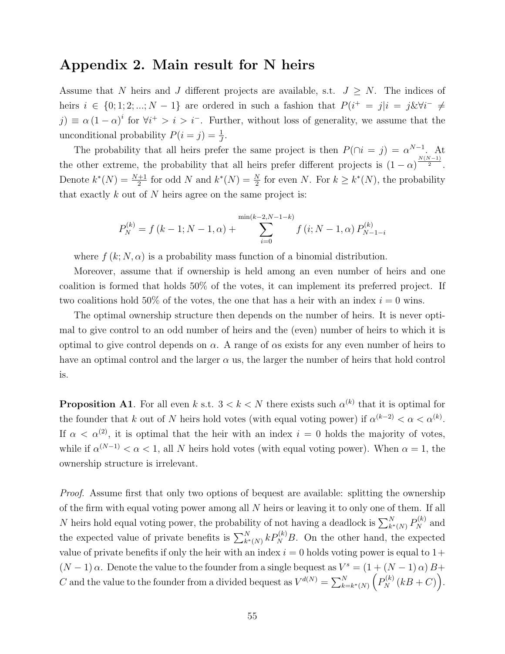## Appendix 2. Main result for N heirs

Assume that N heirs and J different projects are available, s.t.  $J \geq N$ . The indices of heirs  $i \in \{0, 1, 2, ..., N-1\}$  are ordered in such a fashion that  $P(i^+ = j|i = j\&\forall i^- \neq j$  $j) \equiv \alpha (1-\alpha)^i$  for  $\forall i^+ > i > i^-$ . Further, without loss of generality, we assume that the unconditional probability  $P(i = j) = \frac{1}{J}$ .

The probability that all heirs prefer the same project is then  $P(\bigcap i = j) = \alpha^{N-1}$ . At the other extreme, the probability that all heirs prefer different projects is  $(1-\alpha)^{\frac{N(N-1)}{2}}$ . Denote  $k^*(N) = \frac{N+1}{2}$  for odd N and  $k^*(N) = \frac{N}{2}$  for even N. For  $k \geq k^*(N)$ , the probability that exactly  $k$  out of  $N$  heirs agree on the same project is:

$$
P_N^{(k)} = f (k - 1; N - 1, \alpha) + \sum_{i=0}^{\min(k-2, N-1-k)} f (i; N - 1, \alpha) P_{N-1-i}^{(k)}
$$

where  $f(k; N, \alpha)$  is a probability mass function of a binomial distribution.

Moreover, assume that if ownership is held among an even number of heirs and one coalition is formed that holds 50% of the votes, it can implement its preferred project. If two coalitions hold 50% of the votes, the one that has a heir with an index  $i = 0$  wins.

The optimal ownership structure then depends on the number of heirs. It is never optimal to give control to an odd number of heirs and the (even) number of heirs to which it is optimal to give control depends on  $\alpha$ . A range of  $\alpha$ s exists for any even number of heirs to have an optimal control and the larger  $\alpha$  us, the larger the number of heirs that hold control is.

**Proposition A1**. For all even k s.t.  $3 < k < N$  there exists such  $\alpha^{(k)}$  that it is optimal for the founder that k out of N heirs hold votes (with equal voting power) if  $\alpha^{(k-2)} < \alpha < \alpha^{(k)}$ . If  $\alpha < \alpha^{(2)}$ , it is optimal that the heir with an index  $i = 0$  holds the majority of votes, while if  $\alpha^{(N-1)} < \alpha < 1$ , all N heirs hold votes (with equal voting power). When  $\alpha = 1$ , the ownership structure is irrelevant.

Proof. Assume first that only two options of bequest are available: splitting the ownership of the firm with equal voting power among all N heirs or leaving it to only one of them. If all N heirs hold equal voting power, the probability of not having a deadlock is  $\sum_{k^*(N)}^N P_N^{(k)}$  and the expected value of private benefits is  $\sum_{k^*(N)}^N k P_N^{(k)} B$ . On the other hand, the expected value of private benefits if only the heir with an index  $i = 0$  holds voting power is equal to  $1+$  $(N-1)\alpha$ . Denote the value to the founder from a single bequest as  $V^s = (1 + (N-1)\alpha)B +$ C and the value to the founder from a divided bequest as  $V^{d(N)} = \sum_{k=k^*(N)}^N (P_N^{(k)}(kB + C)).$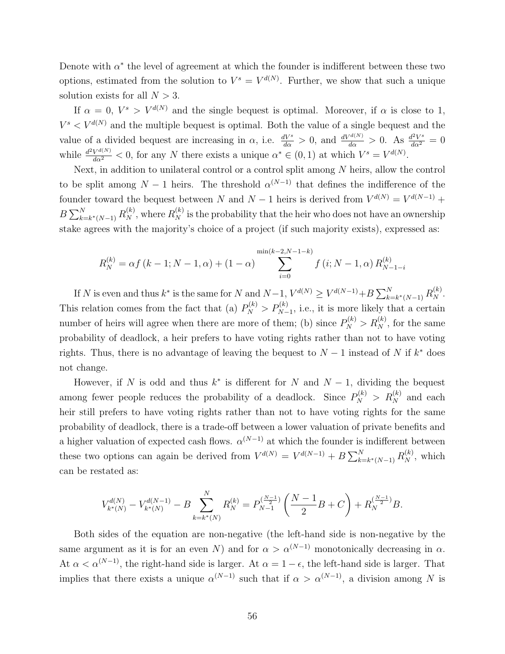Denote with  $\alpha^*$  the level of agreement at which the founder is indifferent between these two options, estimated from the solution to  $V^s = V^{d(N)}$ . Further, we show that such a unique solution exists for all  $N > 3$ .

If  $\alpha = 0$ ,  $V^s > V^{d(N)}$  and the single bequest is optimal. Moreover, if  $\alpha$  is close to 1,  $V^s \lt V^{d(N)}$  and the multiple bequest is optimal. Both the value of a single bequest and the value of a divided bequest are increasing in  $\alpha$ , i.e.  $\frac{dV^s}{d\alpha} > 0$ , and  $\frac{dV^{d(N)}}{d\alpha} > 0$ . As  $\frac{d^2V^s}{d\alpha^2} = 0$ while  $\frac{d^2 V^{d(N)}}{d\alpha^2} < 0$ , for any N there exists a unique  $\alpha^* \in (0,1)$  at which  $V^s = V^{d(N)}$ .

Next, in addition to unilateral control or a control split among  $N$  heirs, allow the control to be split among  $N-1$  heirs. The threshold  $\alpha^{(N-1)}$  that defines the indifference of the founder toward the bequest between N and  $N-1$  heirs is derived from  $V^{d(N)} = V^{d(N-1)} +$  $B\sum_{k=k^*(N-1)}^{N} R_N^{(k)}$ , where  $R_N^{(k)}$  is the probability that the heir who does not have an ownership stake agrees with the majority's choice of a project (if such majority exists), expressed as:

$$
R_N^{(k)} = \alpha f (k - 1; N - 1, \alpha) + (1 - \alpha) \sum_{i=0}^{\min(k-2, N-1-k)} f (i; N - 1, \alpha) R_{N-1-i}^{(k)}
$$

If N is even and thus  $k^*$  is the same for N and  $N-1$ ,  $V^{d(N)} \geq V^{d(N-1)} + B \sum_{k=k^*(N-1)}^N R_N^{(k)}$ . This relation comes from the fact that (a)  $P_N^{(k)} > P_{N-1}^{(k)}$ , i.e., it is more likely that a certain number of heirs will agree when there are more of them; (b) since  $P_N^{(k)} > R_N^{(k)}$ , for the same probability of deadlock, a heir prefers to have voting rights rather than not to have voting rights. Thus, there is no advantage of leaving the bequest to  $N-1$  instead of N if  $k^*$  does not change.

However, if N is odd and thus  $k^*$  is different for N and  $N-1$ , dividing the bequest among fewer people reduces the probability of a deadlock. Since  $P_N^{(k)} > R_N^{(k)}$  and each heir still prefers to have voting rights rather than not to have voting rights for the same probability of deadlock, there is a trade-off between a lower valuation of private benefits and a higher valuation of expected cash flows.  $\alpha^{(N-1)}$  at which the founder is indifferent between these two options can again be derived from  $V^{d(N)} = V^{d(N-1)} + B \sum_{k=k^*(N-1)}^N R_N^{(k)}$ , which can be restated as:

$$
V_{k^*(N)}^{d(N)} - V_{k^*(N)}^{d(N-1)} - B \sum_{k=k^*(N)}^N R_N^{(k)} = P_{N-1}^{(\frac{N-1}{2})} \left( \frac{N-1}{2} B + C \right) + R_N^{(\frac{N-1}{2})} B.
$$

Both sides of the equation are non-negative (the left-hand side is non-negative by the same argument as it is for an even N) and for  $\alpha > \alpha^{(N-1)}$  monotonically decreasing in  $\alpha$ . At  $\alpha < \alpha^{(N-1)}$ , the right-hand side is larger. At  $\alpha = 1 - \epsilon$ , the left-hand side is larger. That implies that there exists a unique  $\alpha^{(N-1)}$  such that if  $\alpha > \alpha^{(N-1)}$ , a division among N is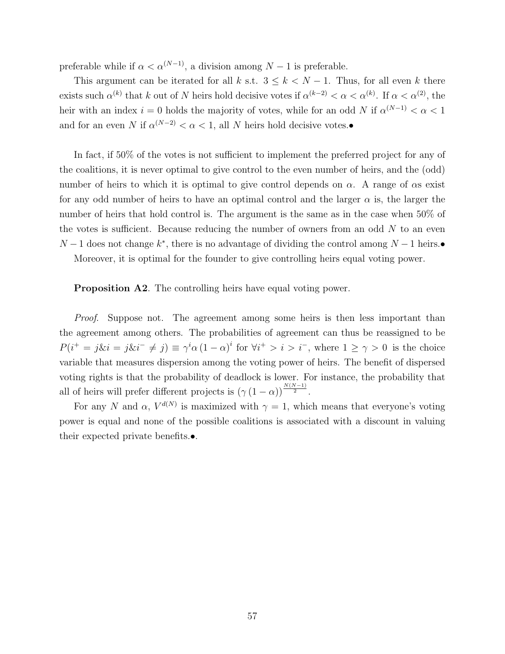preferable while if  $\alpha < \alpha^{(N-1)}$ , a division among  $N-1$  is preferable.

This argument can be iterated for all k s.t.  $3 \leq k < N - 1$ . Thus, for all even k there exists such  $\alpha^{(k)}$  that k out of N heirs hold decisive votes if  $\alpha^{(k-2)} < \alpha < \alpha^{(k)}$ . If  $\alpha < \alpha^{(2)}$ , the heir with an index  $i = 0$  holds the majority of votes, while for an odd N if  $\alpha^{(N-1)} < \alpha < 1$ and for an even N if  $\alpha^{(N-2)} < \alpha < 1$ , all N heirs hold decisive votes.•

In fact, if 50% of the votes is not sufficient to implement the preferred project for any of the coalitions, it is never optimal to give control to the even number of heirs, and the (odd) number of heirs to which it is optimal to give control depends on  $\alpha$ . A range of  $\alpha$ s exist for any odd number of heirs to have an optimal control and the larger  $\alpha$  is, the larger the number of heirs that hold control is. The argument is the same as in the case when 50% of the votes is sufficient. Because reducing the number of owners from an odd  $N$  to an even  $N-1$  does not change  $k^*$ , there is no advantage of dividing the control among  $N-1$  heirs. Moreover, it is optimal for the founder to give controlling heirs equal voting power.

Proposition A2. The controlling heirs have equal voting power.

Proof. Suppose not. The agreement among some heirs is then less important than the agreement among others. The probabilities of agreement can thus be reassigned to be  $P(i^+ = j\&i = j\&i^- \neq j) \equiv \gamma^i \alpha (1 - \alpha)^i$  for  $\forall i^+ > i > i^-$ , where  $1 \geq \gamma > 0$  is the choice variable that measures dispersion among the voting power of heirs. The benefit of dispersed voting rights is that the probability of deadlock is lower. For instance, the probability that all of heirs will prefer different projects is  $(\gamma (1 - \alpha))^{\frac{N(N-1)}{2}}$ .

For any N and  $\alpha$ ,  $V^{d(N)}$  is maximized with  $\gamma = 1$ , which means that everyone's voting power is equal and none of the possible coalitions is associated with a discount in valuing their expected private benefits.•.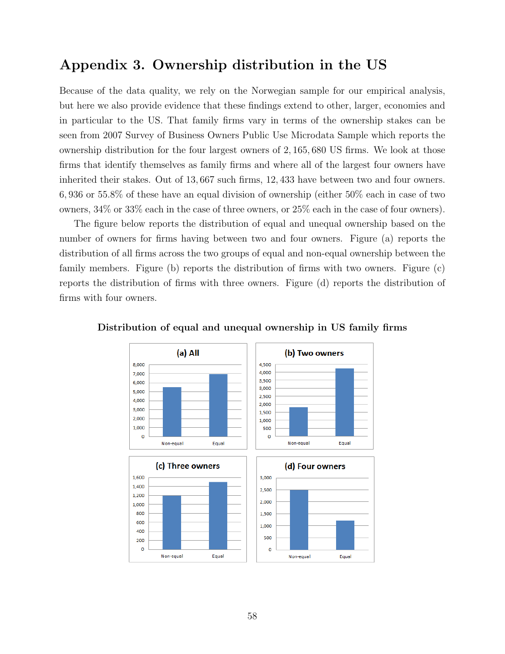## Appendix 3. Ownership distribution in the US

Because of the data quality, we rely on the Norwegian sample for our empirical analysis, but here we also provide evidence that these findings extend to other, larger, economies and in particular to the US. That family firms vary in terms of the ownership stakes can be seen from 2007 Survey of Business Owners Public Use Microdata Sample which reports the ownership distribution for the four largest owners of 2, 165, 680 US firms. We look at those firms that identify themselves as family firms and where all of the largest four owners have inherited their stakes. Out of 13, 667 such firms, 12, 433 have between two and four owners. 6, 936 or 55.8% of these have an equal division of ownership (either 50% each in case of two owners, 34% or 33% each in the case of three owners, or 25% each in the case of four owners).

The figure below reports the distribution of equal and unequal ownership based on the number of owners for firms having between two and four owners. Figure (a) reports the distribution of all firms across the two groups of equal and non-equal ownership between the family members. Figure (b) reports the distribution of firms with two owners. Figure (c) reports the distribution of firms with three owners. Figure (d) reports the distribution of firms with four owners.



Distribution of equal and unequal ownership in US family firms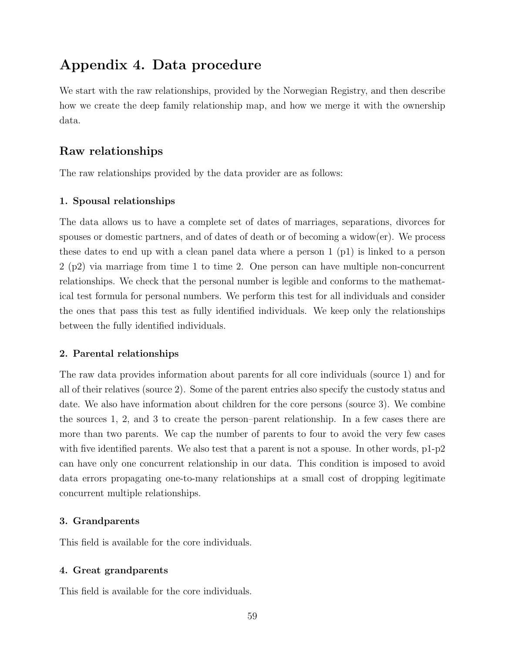## Appendix 4. Data procedure

We start with the raw relationships, provided by the Norwegian Registry, and then describe how we create the deep family relationship map, and how we merge it with the ownership data.

### Raw relationships

The raw relationships provided by the data provider are as follows:

### 1. Spousal relationships

The data allows us to have a complete set of dates of marriages, separations, divorces for spouses or domestic partners, and of dates of death or of becoming a widow(er). We process these dates to end up with a clean panel data where a person 1 (p1) is linked to a person 2 (p2) via marriage from time 1 to time 2. One person can have multiple non-concurrent relationships. We check that the personal number is legible and conforms to the mathematical test formula for personal numbers. We perform this test for all individuals and consider the ones that pass this test as fully identified individuals. We keep only the relationships between the fully identified individuals.

### 2. Parental relationships

The raw data provides information about parents for all core individuals (source 1) and for all of their relatives (source 2). Some of the parent entries also specify the custody status and date. We also have information about children for the core persons (source 3). We combine the sources 1, 2, and 3 to create the person–parent relationship. In a few cases there are more than two parents. We cap the number of parents to four to avoid the very few cases with five identified parents. We also test that a parent is not a spouse. In other words,  $p1-p2$ can have only one concurrent relationship in our data. This condition is imposed to avoid data errors propagating one-to-many relationships at a small cost of dropping legitimate concurrent multiple relationships.

### 3. Grandparents

This field is available for the core individuals.

### 4. Great grandparents

This field is available for the core individuals.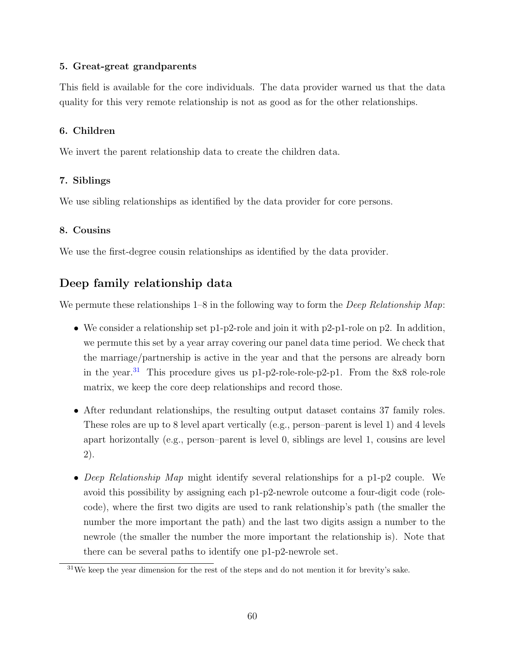### 5. Great-great grandparents

This field is available for the core individuals. The data provider warned us that the data quality for this very remote relationship is not as good as for the other relationships.

### 6. Children

We invert the parent relationship data to create the children data.

### 7. Siblings

We use sibling relationships as identified by the data provider for core persons.

### 8. Cousins

We use the first-degree cousin relationships as identified by the data provider.

## Deep family relationship data

We permute these relationships  $1-8$  in the following way to form the *Deep Relationship Map*:

- We consider a relationship set p1-p2-role and join it with p2-p1-role on p2. In addition, we permute this set by a year array covering our panel data time period. We check that the marriage/partnership is active in the year and that the persons are already born in the year.<sup>[31](#page-60-0)</sup> This procedure gives us p1-p2-role-role-p2-p1. From the 8x8 role-role matrix, we keep the core deep relationships and record those.
- After redundant relationships, the resulting output dataset contains 37 family roles. These roles are up to 8 level apart vertically (e.g., person–parent is level 1) and 4 levels apart horizontally (e.g., person–parent is level 0, siblings are level 1, cousins are level 2).
- Deep Relationship Map might identify several relationships for a p1-p2 couple. We avoid this possibility by assigning each p1-p2-newrole outcome a four-digit code (rolecode), where the first two digits are used to rank relationship's path (the smaller the number the more important the path) and the last two digits assign a number to the newrole (the smaller the number the more important the relationship is). Note that there can be several paths to identify one p1-p2-newrole set.

<span id="page-60-0"></span> $31\text{We keep the year dimension for the rest of the steps and do not mention it for brevity's sake.}$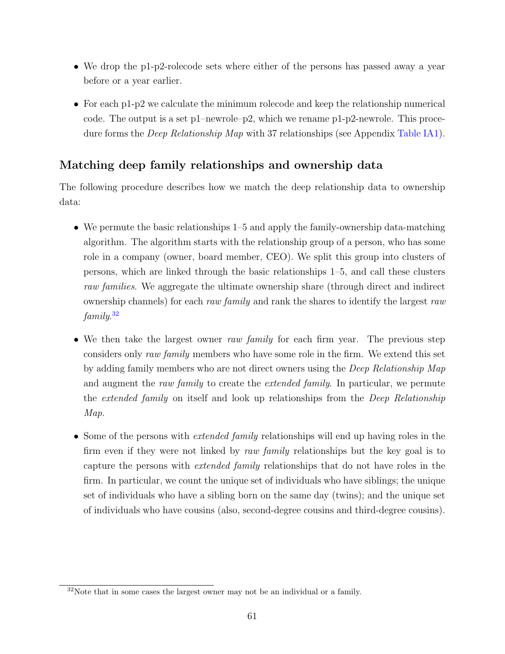- We drop the p1-p2-rolecode sets where either of the persons has passed away a year before or a year earlier.
- For each p1-p2 we calculate the minimum rolecode and keep the relationship numerical code. The output is a set p1–newrole–p2, which we rename p1-p2-newrole. This procedure forms the *Deep Relationship Map* with 37 relationships (see Appendix [Table IA1\)](#page-63-0).

## Matching deep family relationships and ownership data

The following procedure describes how we match the deep relationship data to ownership data:

- We permute the basic relationships 1–5 and apply the family-ownership data-matching algorithm. The algorithm starts with the relationship group of a person, who has some role in a company (owner, board member, CEO). We split this group into clusters of persons, which are linked through the basic relationships 1–5, and call these clusters raw families. We aggregate the ultimate ownership share (through direct and indirect ownership channels) for each raw family and rank the shares to identify the largest raw family. [32](#page-61-0)
- We then take the largest owner raw family for each firm year. The previous step considers only raw family members who have some role in the firm. We extend this set by adding family members who are not direct owners using the Deep Relationship Map and augment the raw family to create the *extended family*. In particular, we permute the extended family on itself and look up relationships from the Deep Relationship Map.
- Some of the persons with *extended family* relationships will end up having roles in the firm even if they were not linked by raw family relationships but the key goal is to capture the persons with extended family relationships that do not have roles in the firm. In particular, we count the unique set of individuals who have siblings; the unique set of individuals who have a sibling born on the same day (twins); and the unique set of individuals who have cousins (also, second-degree cousins and third-degree cousins).

<span id="page-61-0"></span><sup>32</sup>Note that in some cases the largest owner may not be an individual or a family.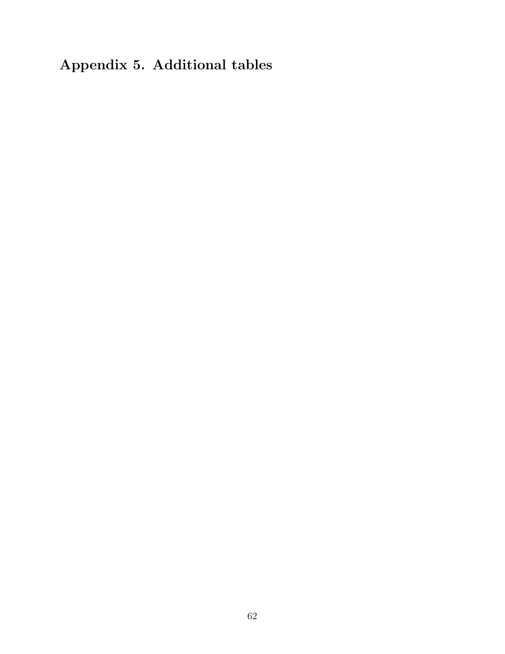# Appendix 5. Additional tables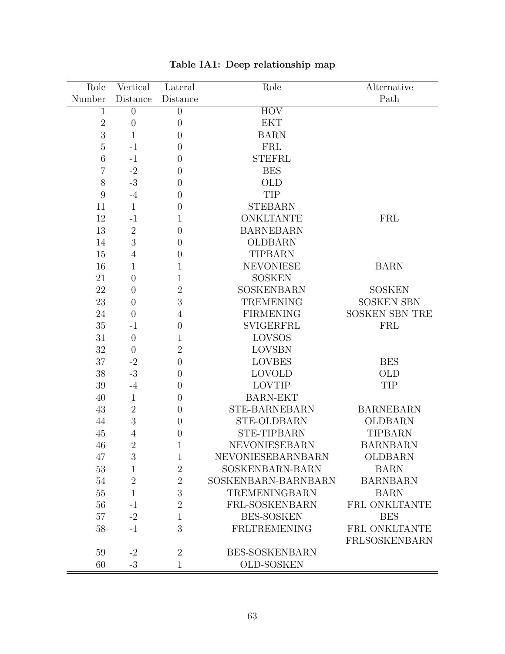<span id="page-63-0"></span>

| Role           | Vertical         | Lateral          | Role                  | Alternative           |
|----------------|------------------|------------------|-----------------------|-----------------------|
| Number         | Distance         | Distance         |                       | Path                  |
| 1              | $\theta$         | $\overline{0}$   | <b>HOV</b>            |                       |
| $\sqrt{2}$     | $\theta$         | $\overline{0}$   | <b>EKT</b>            |                       |
| 3              | $\mathbf{1}$     | $\overline{0}$   | <b>BARN</b>           |                       |
| $\overline{5}$ | $-1$             | $\overline{0}$   | <b>FRL</b>            |                       |
| 6              | $-1$             | $\theta$         | <b>STEFRL</b>         |                       |
| 7              | $-2$             | $\overline{0}$   | <b>BES</b>            |                       |
| 8              | $-3$             | $\overline{0}$   | <b>OLD</b>            |                       |
| 9              | $-4$             | $\theta$         | TIP                   |                       |
| 11             | $\mathbf{1}$     | $\overline{0}$   | <b>STEBARN</b>        |                       |
| 12             | $-1$             | $\mathbf{1}$     | <b>ONKLTANTE</b>      | FRL                   |
| 13             | $\sqrt{2}$       | $\overline{0}$   | <b>BARNEBARN</b>      |                       |
| 14             | 3                | $\boldsymbol{0}$ | <b>OLDBARN</b>        |                       |
| 15             | $\overline{4}$   | $\overline{0}$   | <b>TIPBARN</b>        |                       |
| 16             | $\mathbf{1}$     | $\mathbf{1}$     | <b>NEVONIESE</b>      | <b>BARN</b>           |
| 21             | $\boldsymbol{0}$ | $\mathbf{1}$     | <b>SOSKEN</b>         |                       |
| 22             | $\overline{0}$   | $\overline{2}$   | SOSKENBARN            | <b>SOSKEN</b>         |
| 23             | $\overline{0}$   | 3                | <b>TREMENING</b>      | <b>SOSKEN SBN</b>     |
| 24             | $\overline{0}$   | 4                | <b>FIRMENING</b>      | <b>SOSKEN SBN TRE</b> |
| 35             | $-1$             | $\overline{0}$   | <b>SVIGERFRL</b>      | <b>FRL</b>            |
| 31             | $\theta$         | $\mathbf{1}$     | LOVSOS                |                       |
| 32             | $\overline{0}$   | $\overline{2}$   | <b>LOVSBN</b>         |                       |
| 37             | $-2$             | $\boldsymbol{0}$ | <b>LOVBES</b>         | <b>BES</b>            |
| 38             | $-3$             | $\theta$         | <b>LOVOLD</b>         | <b>OLD</b>            |
| $39\,$         | $-4$             | $\theta$         | <b>LOVTIP</b>         | TIP                   |
| 40             | $\mathbf{1}$     | $\theta$         | <b>BARN-EKT</b>       |                       |
| 43             | $\overline{2}$   | $\overline{0}$   | STE-BARNEBARN         | <b>BARNEBARN</b>      |
| 44             | 3                | $\overline{0}$   | <b>STE-OLDBARN</b>    | <b>OLDBARN</b>        |
| 45             | 4                | $\theta$         | <b>STE-TIPBARN</b>    | <b>TIPBARN</b>        |
| 46             | $\overline{2}$   | $\mathbf{1}$     | <b>NEVONIESEBARN</b>  | <b>BARNBARN</b>       |
| 47             | 3                | $\mathbf{1}$     | NEVONIESEBARNBARN     | OLDBARN               |
| 53             | $\mathbf{1}$     | $\overline{2}$   | SOSKENBARN-BARN       | <b>BARN</b>           |
| 54             | $\overline{2}$   | $\sqrt{2}$       | SOSKENBARN-BARNBARN   | <b>BARNBARN</b>       |
| 55             | $\mathbf{1}$     | 3                | <b>TREMENINGBARN</b>  | <b>BARN</b>           |
| 56             | $-1$             | $\overline{2}$   | FRL-SOSKENBARN        | FRL ONKLTANTE         |
| 57             | $-2$             | $\mathbf{1}$     | <b>BES-SOSKEN</b>     | <b>BES</b>            |
| 58             | $-1$             | 3                | FRLTREMENING          | FRL ONKLTANTE         |
|                |                  |                  |                       | FRLSOSKENBARN         |
| 59             | $-2$             | $\overline{2}$   | <b>BES-SOSKENBARN</b> |                       |
| 60             | $-3$             | $\mathbf{1}$     | OLD-SOSKEN            |                       |

Table IA1: Deep relationship map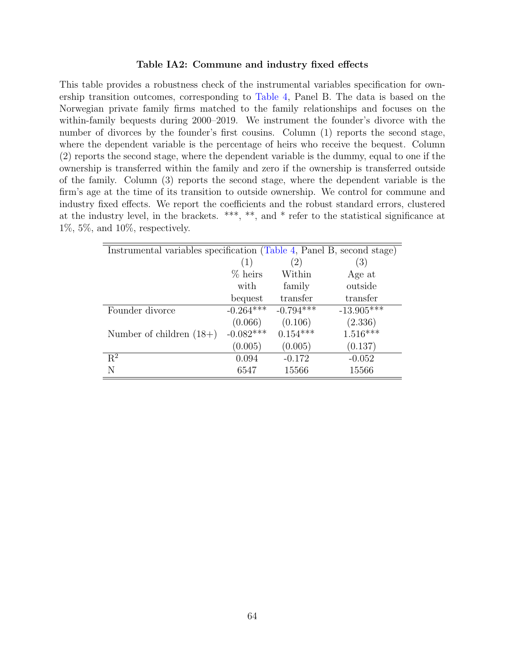#### Table IA2: Commune and industry fixed effects

<span id="page-64-0"></span>This table provides a robustness check of the instrumental variables specification for ownership transition outcomes, corresponding to [Table 4,](#page-43-0) Panel B. The data is based on the Norwegian private family firms matched to the family relationships and focuses on the within-family bequests during 2000–2019. We instrument the founder's divorce with the number of divorces by the founder's first cousins. Column (1) reports the second stage, where the dependent variable is the percentage of heirs who receive the bequest. Column (2) reports the second stage, where the dependent variable is the dummy, equal to one if the ownership is transferred within the family and zero if the ownership is transferred outside of the family. Column (3) reports the second stage, where the dependent variable is the firm's age at the time of its transition to outside ownership. We control for commune and industry fixed effects. We report the coefficients and the robust standard errors, clustered at the industry level, in the brackets. \*\*\*, \*\*, and \* refer to the statistical significance at 1%, 5%, and 10%, respectively.

| Instrumental variables specification (Table 4, Panel B, second stage) |             |             |              |  |  |  |
|-----------------------------------------------------------------------|-------------|-------------|--------------|--|--|--|
|                                                                       | (1)         | (2)         | (3)          |  |  |  |
|                                                                       | $%$ heirs   | Within      | Age at       |  |  |  |
|                                                                       | with        | family      | outside      |  |  |  |
|                                                                       | bequest     | transfer    | transfer     |  |  |  |
| Founder divorce                                                       | $-0.264***$ | $-0.794***$ | $-13.905***$ |  |  |  |
|                                                                       | (0.066)     | (0.106)     | (2.336)      |  |  |  |
| Number of children $(18+)$                                            | $-0.082***$ | $0.154***$  | $1.516***$   |  |  |  |
|                                                                       | (0.005)     | (0.005)     | (0.137)      |  |  |  |
| $R^2$                                                                 | 0.094       | $-0.172$    | $-0.052$     |  |  |  |
| N                                                                     | 6547        | 15566       | 15566        |  |  |  |